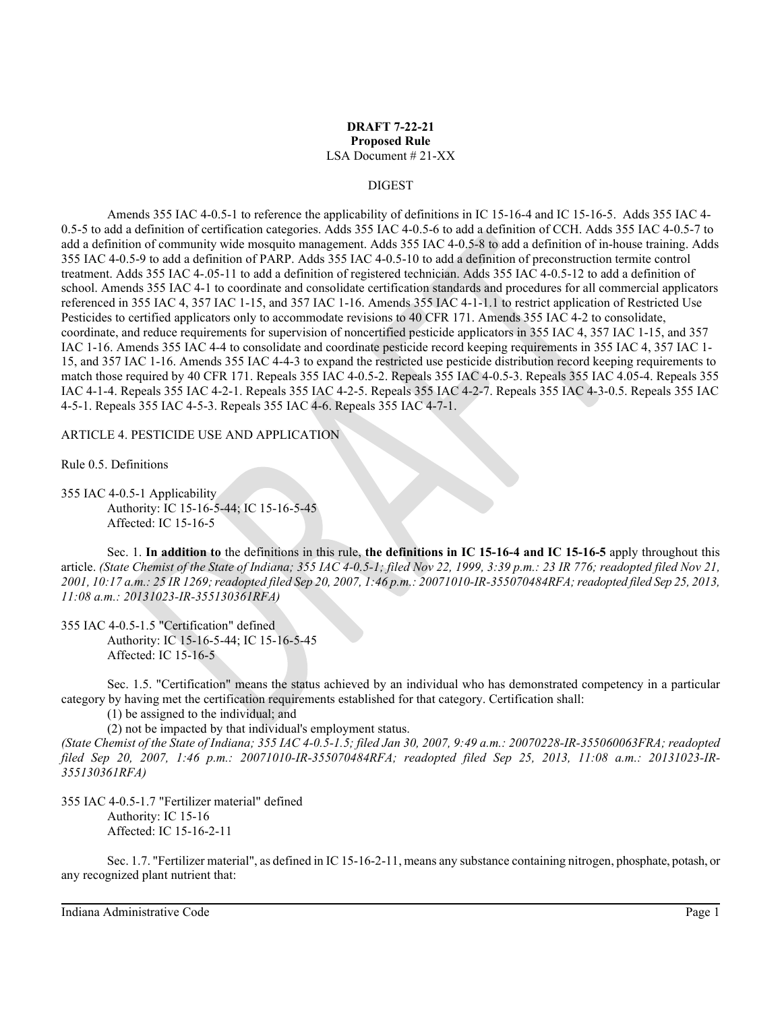## **DRAFT 7-22-21 Proposed Rule** LSA Document # 21-XX

## DIGEST

Amends 355 IAC 4-0.5-1 to reference the applicability of definitions in IC 15-16-4 and IC 15-16-5. Adds 355 IAC 4- 0.5-5 to add a definition of certification categories. Adds 355 IAC 4-0.5-6 to add a definition of CCH. Adds 355 IAC 4-0.5-7 to add a definition of community wide mosquito management. Adds 355 IAC 4-0.5-8 to add a definition of in-house training. Adds 355 IAC 4-0.5-9 to add a definition of PARP. Adds 355 IAC 4-0.5-10 to add a definition of preconstruction termite control treatment. Adds 355 IAC 4-.05-11 to add a definition of registered technician. Adds 355 IAC 4-0.5-12 to add a definition of school. Amends 355 IAC 4-1 to coordinate and consolidate certification standards and procedures for all commercial applicators referenced in 355 IAC 4, 357 IAC 1-15, and 357 IAC 1-16. Amends 355 IAC 4-1-1.1 to restrict application of Restricted Use Pesticides to certified applicators only to accommodate revisions to 40 CFR 171. Amends 355 IAC 4-2 to consolidate, coordinate, and reduce requirements for supervision of noncertified pesticide applicators in 355 IAC 4, 357 IAC 1-15, and 357 IAC 1-16. Amends 355 IAC 4-4 to consolidate and coordinate pesticide record keeping requirements in 355 IAC 4, 357 IAC 1- 15, and 357 IAC 1-16. Amends 355 IAC 4-4-3 to expand the restricted use pesticide distribution record keeping requirements to match those required by 40 CFR 171. Repeals 355 IAC 4-0.5-2. Repeals 355 IAC 4-0.5-3. Repeals 355 IAC 4.05-4. Repeals 355 IAC 4-1-4. Repeals 355 IAC 4-2-1. Repeals 355 IAC 4-2-5. Repeals 355 IAC 4-2-7. Repeals 355 IAC 4-3-0.5. Repeals 355 IAC 4-5-1. Repeals 355 IAC 4-5-3. Repeals 355 IAC 4-6. Repeals 355 IAC 4-7-1.

ARTICLE 4. PESTICIDE USE AND APPLICATION

Rule 0.5. Definitions

355 IAC 4-0.5-1 Applicability Authority: IC 15-16-5-44; IC 15-16-5-45 Affected: IC 15-16-5

Sec. 1. **In addition to** the definitions in this rule, **the definitions in IC 15-16-4 and IC 15-16-5** apply throughout this article. *(State Chemist of the State of Indiana; 355 IAC 4-0.5-1; filed Nov 22, 1999, 3:39 p.m.: 23 IR 776; readopted filed Nov 21, 2001, 10:17 a.m.: 25 IR 1269; readopted filed Sep 20, 2007, 1:46 p.m.: 20071010-IR-355070484RFA; readopted filed Sep 25, 2013, 11:08 a.m.: 20131023-IR-355130361RFA)*

355 IAC 4-0.5-1.5 "Certification" defined Authority: IC 15-16-5-44; IC 15-16-5-45 Affected: IC 15-16-5

Sec. 1.5. "Certification" means the status achieved by an individual who has demonstrated competency in a particular category by having met the certification requirements established for that category. Certification shall:

(1) be assigned to the individual; and

(2) not be impacted by that individual's employment status.

*(State Chemist of the State of Indiana; 355 IAC 4-0.5-1.5; filed Jan 30, 2007, 9:49 a.m.: 20070228-IR-355060063FRA; readopted filed Sep 20, 2007, 1:46 p.m.: 20071010-IR-355070484RFA; readopted filed Sep 25, 2013, 11:08 a.m.: 20131023-IR-355130361RFA)*

355 IAC 4-0.5-1.7 "Fertilizer material" defined Authority: IC 15-16 Affected: IC 15-16-2-11

Sec. 1.7. "Fertilizer material", as defined in IC 15-16-2-11, means any substance containing nitrogen, phosphate, potash, or any recognized plant nutrient that: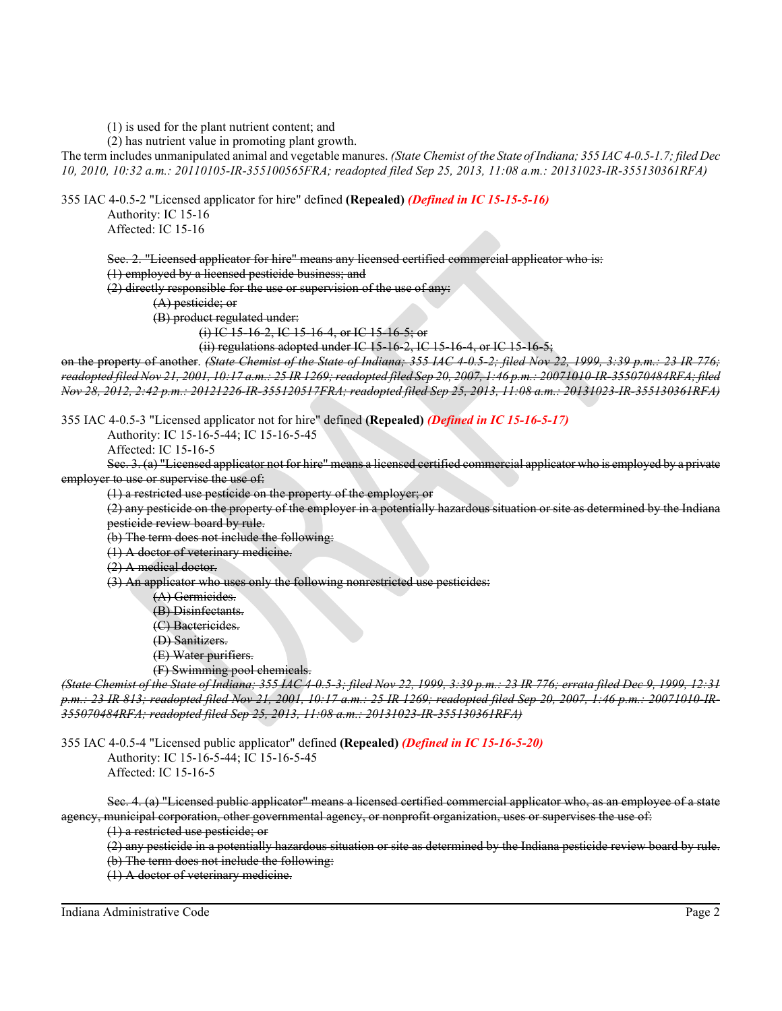(1) is used for the plant nutrient content; and

(2) has nutrient value in promoting plant growth.

The term includes unmanipulated animal and vegetable manures. *(State Chemist of the State of Indiana; 355 IAC 4-0.5-1.7; filed Dec 10, 2010, 10:32 a.m.: 20110105-IR-355100565FRA; readopted filed Sep 25, 2013, 11:08 a.m.: 20131023-IR-355130361RFA)*

355 IAC 4-0.5-2 "Licensed applicator for hire" defined **(Repealed)** *(Defined in IC 15-15-5-16)* Authority: IC 15-16

Affected: IC 15-16

Sec. 2. "Licensed applicator for hire" means any licensed certified commercial applicator who is:

(1) employed by a licensed pesticide business; and

(2) directly responsible for the use or supervision of the use of any:

(A) pesticide; or

(B) product regulated under:

(i) IC 15-16-2, IC 15-16-4, or IC 15-16-5; or

(ii) regulations adopted under IC  $15-16-2$ , IC  $15-16-4$ , or IC  $15-16-5$ ;

on the property of another. *(State Chemist of the State of Indiana; 355 IAC 4 0.5 2; filed Nov 22, 1999, 3:39 p.m.: 23 IR 776; readopted filed Nov 21, 2001, 10:17 a.m.: 25 IR 1269; readopted filed Sep 20, 2007, 1:46 p.m.: 20071010-IR-355070484RFA; filed Nov 28, 2012, 2:42 p.m.: 20121226-IR-355120517FRA; readopted filed Sep 25, 2013, 11:08 a.m.: 20131023-IR-355130361RFA)*

355 IAC 4-0.5-3 "Licensed applicator not for hire" defined **(Repealed)** *(Defined in IC 15-16-5-17)*

Authority: IC 15-16-5-44; IC 15-16-5-45

Affected: IC 15-16-5

Sec. 3. (a) "Licensed applicator not for hire" means a licensed certified commercial applicator who is employed by a private employer to use or supervise the use of:

(1) a restricted use pesticide on the property of the employer; or

(2) any pesticide on the property of the employer in a potentially hazardous situation or site as determined by the Indiana pesticide review board by rule.

(b) The term does not include the following:

(1) A doctor of veterinary medicine.

(2) A medical doctor.

(3) An applicator who uses only the following nonrestricted use pesticides:

- (A) Germicides.
- (B) Disinfectants.
- (C) Bactericides.
- (D) Sanitizers.
- (E) Water purifiers.

(F) Swimming pool chemicals.

*(State Chemist of the State of Indiana; 355 IAC 4-0.5-3; filed Nov 22, 1999, 3:39 p.m.: 23 IR 776; errata filed Dec 9, 1999, 12:31 p.m.: 23 IR 813; readopted filed Nov 21, 2001, 10:17 a.m.: 25 IR 1269; readopted filed Sep 20, 2007, 1:46 p.m.: 20071010-IR-355070484RFA; readopted filed Sep 25, 2013, 11:08 a.m.: 20131023-IR-355130361RFA)*

355 IAC 4-0.5-4 "Licensed public applicator" defined **(Repealed)** *(Defined in IC 15-16-5-20)* Authority: IC 15-16-5-44; IC 15-16-5-45 Affected: IC 15-16-5

Sec. 4. (a) "Licensed public applicator" means a licensed certified commercial applicator who, as an employee of a state agency, municipal corporation, other governmental agency, or nonprofit organization, uses or supervises the use of:

(1) a restricted use pesticide; or

(2) any pesticide in a potentially hazardous situation or site as determined by the Indiana pesticide review board by rule. (b) The term does not include the following:

(1) A doctor of veterinary medicine.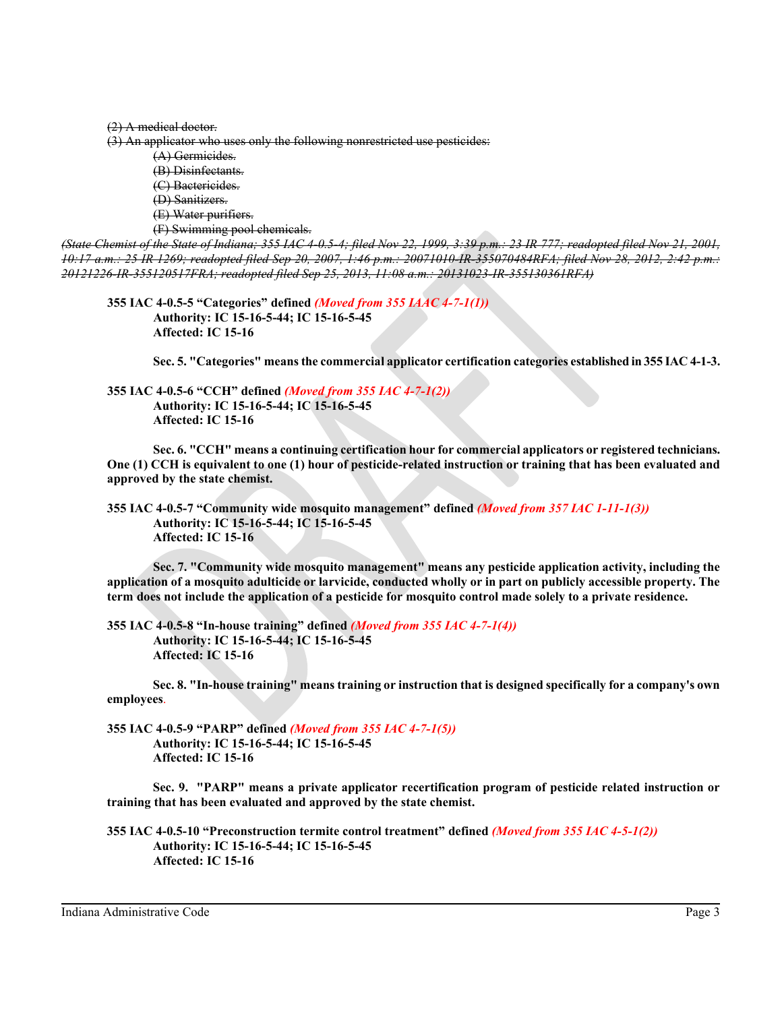(2) A medical doctor.

(3) An applicator who uses only the following nonrestricted use pesticides:

(A) Germicides.

- (B) Disinfectants.
- (C) Bactericides.
- (D) Sanitizers.
- (E) Water purifiers.
- (F) Swimming pool chemicals.

*(State Chemist of the State of Indiana; 355 IAC 4-0.5-4; filed Nov 22, 1999, 3:39 p.m.: 23 IR 777; readopted filed Nov 21, 2001, 10:17 a.m.: 25 IR 1269; readopted filed Sep 20, 2007, 1:46 p.m.: 20071010 IR 355070484RFA; filed Nov 28, 2012, 2:42 p.m.: 20121226-IR-355120517FRA; readopted filed Sep 25, 2013, 11:08 a.m.: 20131023-IR-355130361RFA)*

**355 IAC 4-0.5-5 "Categories" defined** *(Moved from 355 IAAC 4-7-1(1))* **Authority: IC 15-16-5-44; IC 15-16-5-45 Affected: IC 15-16**

**Sec. 5. "Categories" means the commercial applicator certification categories established in 355 IAC 4-1-3.**

**355 IAC 4-0.5-6 "CCH" defined** *(Moved from 355 IAC 4-7-1(2))* **Authority: IC 15-16-5-44; IC 15-16-5-45 Affected: IC 15-16**

**Sec. 6. "CCH" means a continuing certification hour for commercial applicators or registered technicians. One (1) CCH is equivalent to one (1) hour of pesticide-related instruction or training that has been evaluated and approved by the state chemist.**

**Sec. 7. "Community wide mosquito management" means any pesticide application activity, including the application of a mosquito adulticide or larvicide, conducted wholly or in part on publicly accessible property. The term does not include the application of a pesticide for mosquito control made solely to a private residence.**

**355 IAC 4-0.5-8 "In-house training" defined** *(Moved from 355 IAC 4-7-1(4))* **Authority: IC 15-16-5-44; IC 15-16-5-45 Affected: IC 15-16**

**Sec. 8. "In-house training" means training or instruction that is designed specifically for a company's own employees**.

**355 IAC 4-0.5-9 "PARP" defined** *(Moved from 355 IAC 4-7-1(5))* **Authority: IC 15-16-5-44; IC 15-16-5-45 Affected: IC 15-16**

**Sec. 9. "PARP" means a private applicator recertification program of pesticide related instruction or training that has been evaluated and approved by the state chemist.**

**355 IAC 4-0.5-10 "Preconstruction termite control treatment" defined** *(Moved from 355 IAC 4-5-1(2))* **Authority: IC 15-16-5-44; IC 15-16-5-45 Affected: IC 15-16**

**<sup>355</sup> IAC 4-0.5-7 "Community wide mosquito management" defined** *(Moved from 357 IAC 1-11-1(3))* **Authority: IC 15-16-5-44; IC 15-16-5-45 Affected: IC 15-16**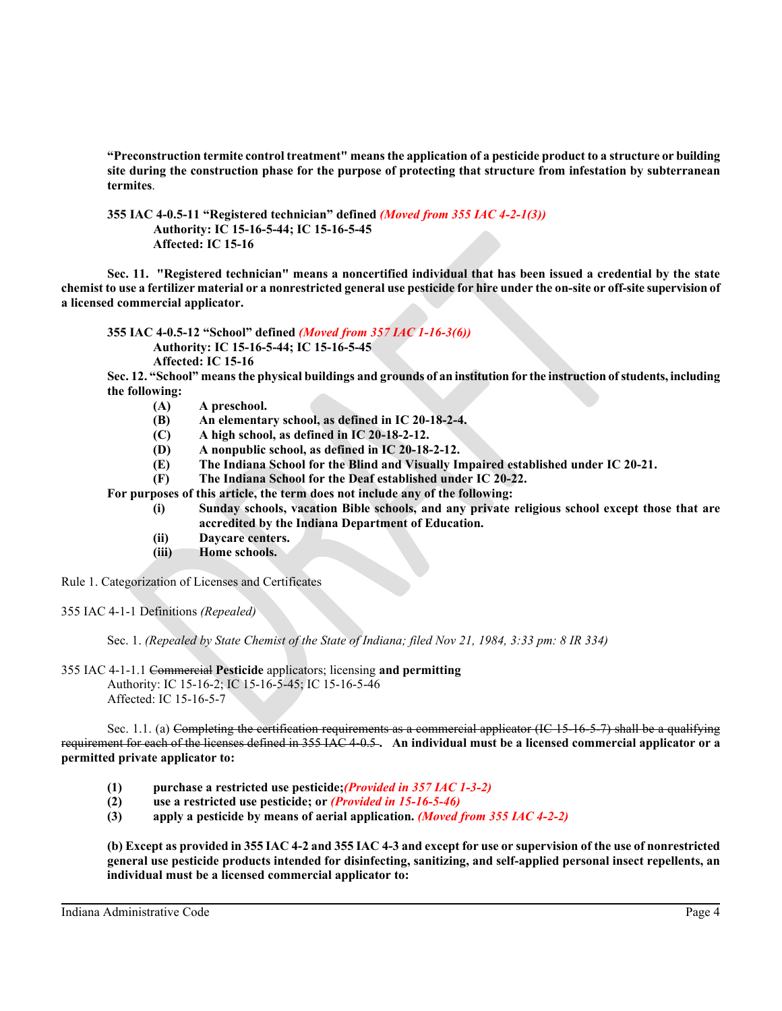**"Preconstruction termite control treatment" means the application of a pesticide product to a structure or building site during the construction phase for the purpose of protecting that structure from infestation by subterranean termites**.

**355 IAC 4-0.5-11 "Registered technician" defined** *(Moved from 355 IAC 4-2-1(3))* **Authority: IC 15-16-5-44; IC 15-16-5-45 Affected: IC 15-16**

**Sec. 11. "Registered technician" means a noncertified individual that has been issued a credential by the state chemist to use a fertilizer material or a nonrestricted general use pesticide for hire under the on-site or off-site supervision of a licensed commercial applicator.**

**355 IAC 4-0.5-12 "School" defined** *(Moved from 357 IAC 1-16-3(6))*

**Authority: IC 15-16-5-44; IC 15-16-5-45**

**Affected: IC 15-16**

**Sec. 12. "School" means the physical buildings and grounds of an institution for the instruction of students, including the following:**

- **(A) A preschool.**
- **(B) An elementary school, as defined in IC 20-18-2-4.**
- **(C) A high school, as defined in IC 20-18-2-12.**
- **(D) A nonpublic school, as defined in IC 20-18-2-12.**
- **(E) The Indiana School for the Blind and Visually Impaired established under IC 20-21.**
- **(F) The Indiana School for the Deaf established under IC 20-22.**

**For purposes of this article, the term does not include any of the following:**

- **(i) Sunday schools, vacation Bible schools, and any private religious school except those that are accredited by the Indiana Department of Education.**
- **(ii) Daycare centers.**
- **(iii) Home schools.**

Rule 1. Categorization of Licenses and Certificates

355 IAC 4-1-1 Definitions *(Repealed)*

Sec. 1. *(Repealed by State Chemist of the State of Indiana; filed Nov 21, 1984, 3:33 pm: 8 IR 334)*

355 IAC 4-1-1.1 Commercial **Pesticide** applicators; licensing **and permitting** Authority: IC 15-16-2; IC 15-16-5-45; IC 15-16-5-46 Affected: IC 15-16-5-7

Sec. 1.1. (a) Completing the certification requirements as a commercial applicator (IC 15-16-5-7) shall be a qualifying requirement for each of the licenses defined in 355 IAC 4-0.5 **. An individual must be a licensed commercial applicator or a permitted private applicator to:**

- **(1) purchase a restricted use pesticide;***(Provided in 357 IAC 1-3-2)*
- **(2) use a restricted use pesticide; or** *(Provided in 15-16-5-46)*
- **(3) apply a pesticide by means of aerial application.** *(Moved from 355 IAC 4-2-2)*

**(b) Except as provided in 355 IAC 4-2 and 355 IAC 4-3 and except for use or supervision of the use of nonrestricted general use pesticide products intended for disinfecting, sanitizing, and self-applied personal insect repellents, an individual must be a licensed commercial applicator to:**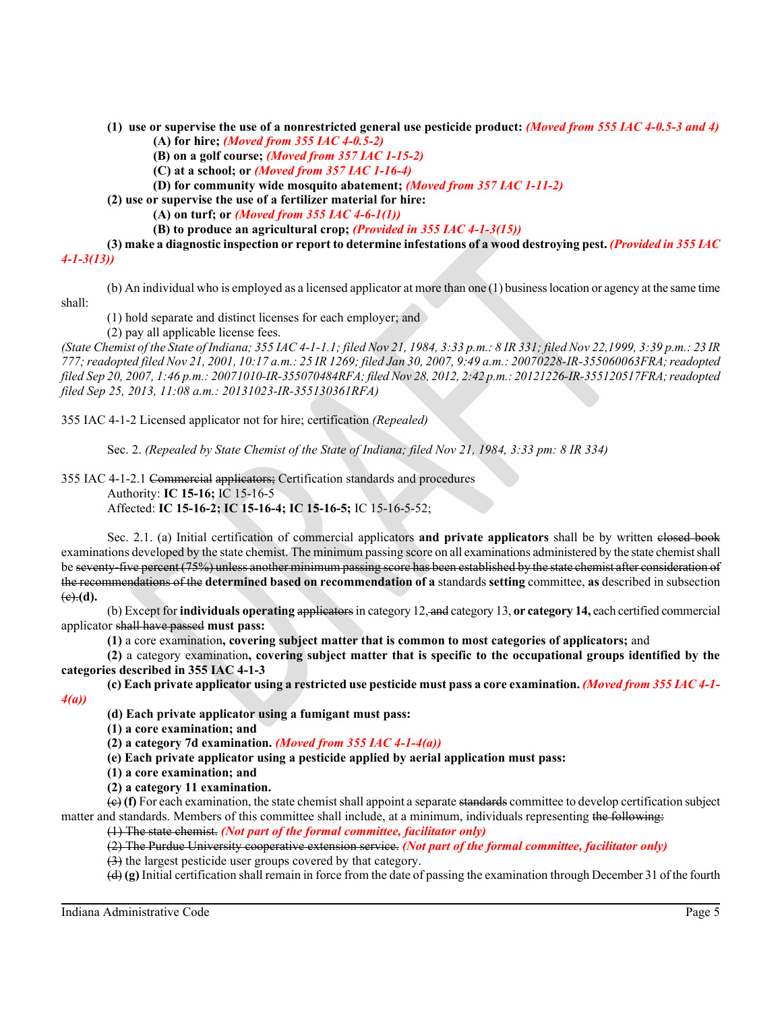**(1) use or supervise the use of a nonrestricted general use pesticide product:** *(Moved from 555 IAC 4-0.5-3 and 4)* **(A) for hire;** *(Moved from 355 IAC 4-0.5-2)*

**(B) on a golf course;** *(Moved from 357 IAC 1-15-2)*

**(C) at a school; or** *(Moved from 357 IAC 1-16-4)*

**(D) for community wide mosquito abatement;** *(Moved from 357 IAC 1-11-2)*

**(2) use or supervise the use of a fertilizer material for hire:**

**(A) on turf; or** *(Moved from 355 IAC 4-6-1(1))*

**(B) to produce an agricultural crop;** *(Provided in 355 IAC 4-1-3(15))*

**(3) make a diagnostic inspection or report to determine infestations of a wood destroying pest.** *(Provided in 355 IAC 4-1-3(13))*

(b) An individual who is employed as a licensed applicator at more than one (1) business location or agency at the same time shall:

(1) hold separate and distinct licenses for each employer; and

(2) pay all applicable license fees.

*(State Chemist of the State of Indiana; 355 IAC 4-1-1.1; filed Nov 21, 1984, 3:33 p.m.: 8 IR 331; filed Nov 22,1999, 3:39 p.m.: 23 IR 777; readopted filed Nov 21, 2001, 10:17 a.m.: 25 IR 1269; filed Jan 30, 2007, 9:49 a.m.: 20070228-IR-355060063FRA; readopted filed Sep 20, 2007, 1:46 p.m.: 20071010-IR-355070484RFA; filed Nov 28, 2012, 2:42 p.m.: 20121226-IR-355120517FRA; readopted filed Sep 25, 2013, 11:08 a.m.: 20131023-IR-355130361RFA)*

355 IAC 4-1-2 Licensed applicator not for hire; certification *(Repealed)*

Sec. 2. *(Repealed by State Chemist of the State of Indiana; filed Nov 21, 1984, 3:33 pm: 8 IR 334)*

355 IAC 4-1-2.1 Commercial applicators; Certification standards and procedures Authority: **IC 15-16;** IC 15-16-5 Affected: **IC 15-16-2; IC 15-16-4; IC 15-16-5;** IC 15-16-5-52;

Sec. 2.1. (a) Initial certification of commercial applicators **and private applicators** shall be by written elosed book examinations developed by the state chemist. The minimum passing score on all examinations administered by the state chemist shall be seventy-five percent (75%) unless another minimum passing score has been established by the state chemist after consideration of the recommendations of the **determined based on recommendation of a** standards **setting** committee, **as** described in subsection (c).**(d).**

(b) Except for **individuals operating** applicatorsin category 12, and category 13, **or category 14,** each certified commercial applicator shall have passed **must pass:**

**(1)** a core examination**, covering subject matter that is common to most categories of applicators;** and

**(2)** a category examination**, covering subject matter that is specific to the occupational groups identified by the categories described in 355 IAC 4-1-3**

**(c) Each private applicator using a restricted use pesticide must pass a core examination.** *(Moved from 355 IAC 4-1- 4(a))*

**(d) Each private applicator using a fumigant must pass:**

**(1) a core examination; and**

**(2) a category 7d examination.** *(Moved from 355 IAC 4-1-4(a))*

**(e) Each private applicator using a pesticide applied by aerial application must pass:**

**(1) a core examination; and**

**(2) a category 11 examination.**

(c) **(f)** For each examination, the state chemist shall appoint a separate standards committee to develop certification subject matter and standards. Members of this committee shall include, at a minimum, individuals representing the following:

(1) The state chemist. *(Not part of the formal committee, facilitator only)*

(2) The Purdue University cooperative extension service. *(Not part of the formal committee, facilitator only)*

(3) the largest pesticide user groups covered by that category.

(d) **(g)** Initial certification shall remain in force from the date of passing the examination through December 31 of the fourth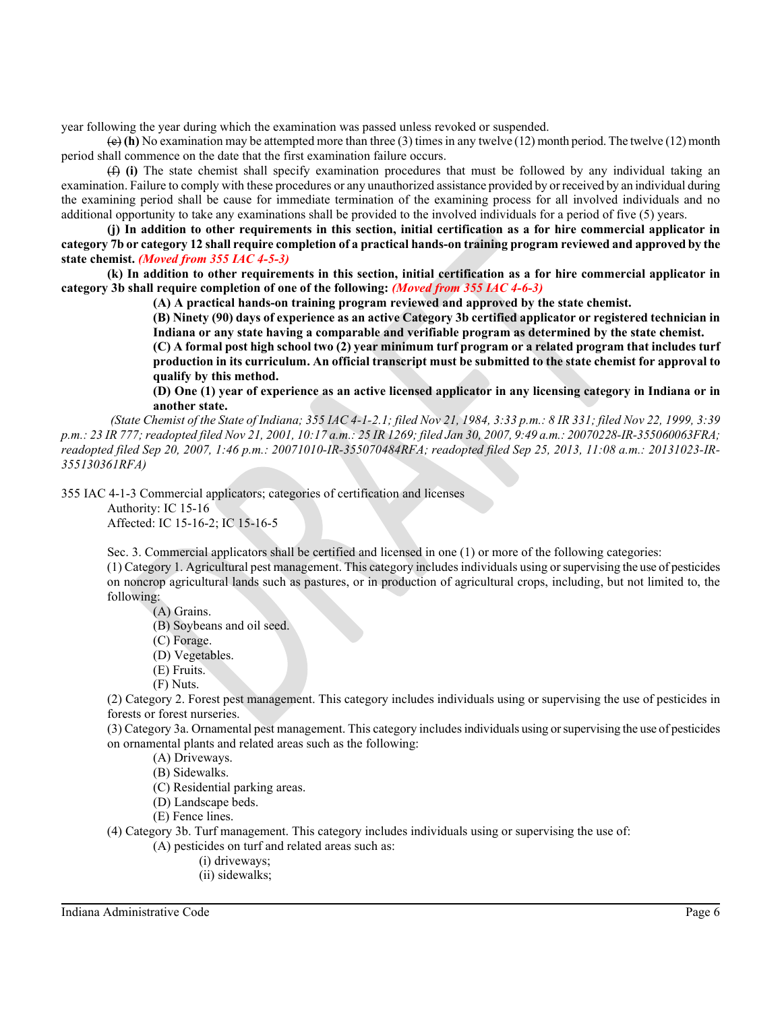year following the year during which the examination was passed unless revoked or suspended.

(e) **(h)** No examination may be attempted more than three (3) times in any twelve (12) month period. The twelve (12) month period shall commence on the date that the first examination failure occurs.

(f) **(i)** The state chemist shall specify examination procedures that must be followed by any individual taking an examination. Failure to comply with these procedures or any unauthorized assistance provided by or received by an individual during the examining period shall be cause for immediate termination of the examining process for all involved individuals and no additional opportunity to take any examinations shall be provided to the involved individuals for a period of five (5) years.

**(j) In addition to other requirements in this section, initial certification as a for hire commercial applicator in category 7b or category 12 shall require completion of a practical hands-on training program reviewed and approved by the state chemist.** *(Moved from 355 IAC 4-5-3)*

**(k) In addition to other requirements in this section, initial certification as a for hire commercial applicator in category 3b shall require completion of one of the following:** *(Moved from 355 IAC 4-6-3)*

**(A) A practical hands-on training program reviewed and approved by the state chemist.**

**(B) Ninety (90) days of experience as an active Category 3b certified applicator or registered technician in Indiana or any state having a comparable and verifiable program as determined by the state chemist.**

**(C) A formal post high school two (2) year minimum turf program or a related program that includes turf production in its curriculum. An official transcript must be submitted to the state chemist for approval to qualify by this method.**

**(D) One (1) year of experience as an active licensed applicator in any licensing category in Indiana or in another state.**

*(State Chemist of the State of Indiana; 355 IAC 4-1-2.1; filed Nov 21, 1984, 3:33 p.m.: 8 IR 331; filed Nov 22, 1999, 3:39 p.m.: 23 IR 777; readopted filed Nov 21, 2001, 10:17 a.m.: 25 IR 1269; filed Jan 30, 2007, 9:49 a.m.: 20070228-IR-355060063FRA; readopted filed Sep 20, 2007, 1:46 p.m.: 20071010-IR-355070484RFA; readopted filed Sep 25, 2013, 11:08 a.m.: 20131023-IR-355130361RFA)*

355 IAC 4-1-3 Commercial applicators; categories of certification and licenses

Authority: IC 15-16 Affected: IC 15-16-2; IC 15-16-5

Sec. 3. Commercial applicators shall be certified and licensed in one (1) or more of the following categories:

(1) Category 1. Agricultural pest management. This category includes individuals using or supervising the use of pesticides on noncrop agricultural lands such as pastures, or in production of agricultural crops, including, but not limited to, the following:

- (A) Grains.
- (B) Soybeans and oil seed.
- (C) Forage.
- (D) Vegetables.
- (E) Fruits.
- (F) Nuts.

(2) Category 2. Forest pest management. This category includes individuals using or supervising the use of pesticides in forests or forest nurseries.

(3) Category 3a. Ornamental pest management. This category includes individuals using or supervising the use of pesticides on ornamental plants and related areas such as the following:

(A) Driveways.

(B) Sidewalks.

(C) Residential parking areas.

(D) Landscape beds.

(E) Fence lines.

(4) Category 3b. Turf management. This category includes individuals using or supervising the use of:

(A) pesticides on turf and related areas such as:

- (i) driveways;
- (ii) sidewalks;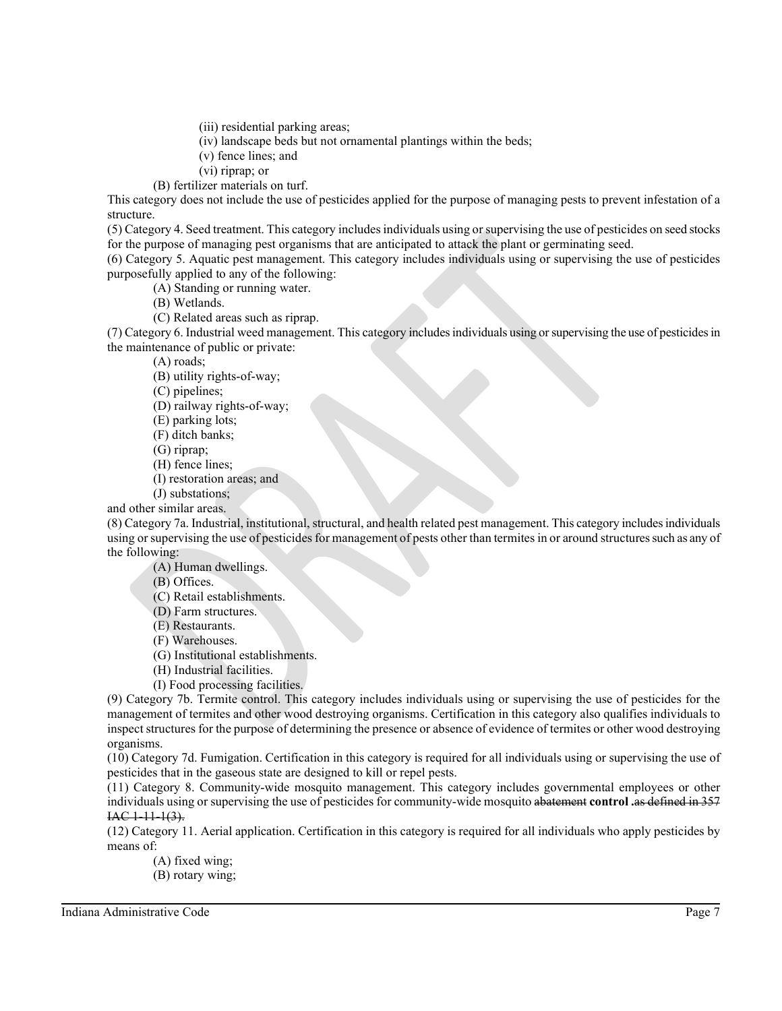(iii) residential parking areas;

(iv) landscape beds but not ornamental plantings within the beds;

(v) fence lines; and

(vi) riprap; or

(B) fertilizer materials on turf.

This category does not include the use of pesticides applied for the purpose of managing pests to prevent infestation of a structure.

(5) Category 4. Seed treatment. This category includes individuals using or supervising the use of pesticides on seed stocks for the purpose of managing pest organisms that are anticipated to attack the plant or germinating seed.

(6) Category 5. Aquatic pest management. This category includes individuals using or supervising the use of pesticides purposefully applied to any of the following:

(A) Standing or running water.

(B) Wetlands.

(C) Related areas such as riprap.

(7) Category 6. Industrial weed management. This category includes individuals using or supervising the use of pesticides in the maintenance of public or private:

(A) roads;

(B) utility rights-of-way;

(C) pipelines;

(D) railway rights-of-way;

- (E) parking lots;
- (F) ditch banks;

(G) riprap;

- (H) fence lines;
- (I) restoration areas; and
- (J) substations;

and other similar areas.

(8) Category 7a. Industrial, institutional, structural, and health related pest management. This category includes individuals using or supervising the use of pesticides for management of pests other than termites in or around structures such as any of the following:

(A) Human dwellings.

(B) Offices.

(C) Retail establishments.

- (D) Farm structures.
- (E) Restaurants.
- (F) Warehouses.
- (G) Institutional establishments.
- (H) Industrial facilities.
- (I) Food processing facilities.

(9) Category 7b. Termite control. This category includes individuals using or supervising the use of pesticides for the management of termites and other wood destroying organisms. Certification in this category also qualifies individuals to inspect structures for the purpose of determining the presence or absence of evidence of termites or other wood destroying organisms.

(10) Category 7d. Fumigation. Certification in this category is required for all individuals using or supervising the use of pesticides that in the gaseous state are designed to kill or repel pests.

(11) Category 8. Community-wide mosquito management. This category includes governmental employees or other individuals using or supervising the use of pesticides for community-wide mosquito abatement **control .**as defined in 357  $IAC 1-11-1(3)$ .

(12) Category 11. Aerial application. Certification in this category is required for all individuals who apply pesticides by means of:

(A) fixed wing;

(B) rotary wing;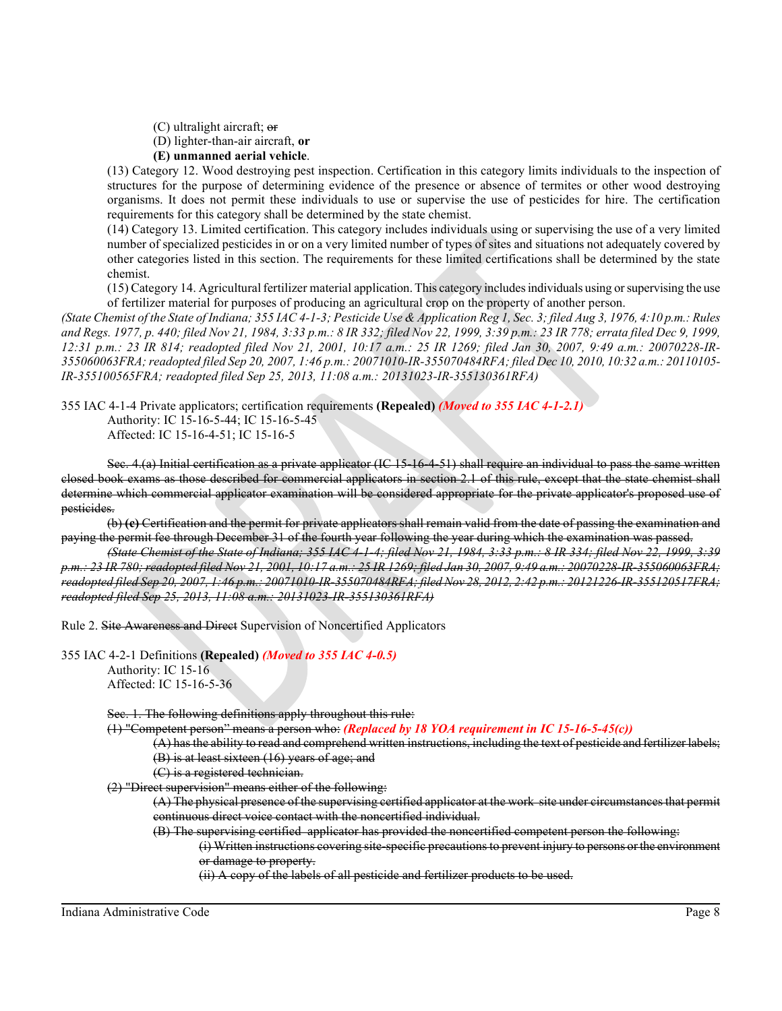(C) ultralight aircraft; or

(D) lighter-than-air aircraft, **or**

**(E) unmanned aerial vehicle**.

(13) Category 12. Wood destroying pest inspection. Certification in this category limits individuals to the inspection of structures for the purpose of determining evidence of the presence or absence of termites or other wood destroying organisms. It does not permit these individuals to use or supervise the use of pesticides for hire. The certification requirements for this category shall be determined by the state chemist.

(14) Category 13. Limited certification. This category includes individuals using or supervising the use of a very limited number of specialized pesticides in or on a very limited number of types of sites and situations not adequately covered by other categories listed in this section. The requirements for these limited certifications shall be determined by the state chemist.

(15) Category 14. Agricultural fertilizer material application. This category includes individuals using or supervising the use of fertilizer material for purposes of producing an agricultural crop on the property of another person.

*(State Chemist of the State of Indiana; 355 IAC 4-1-3; Pesticide Use & Application Reg 1, Sec. 3; filed Aug 3, 1976, 4:10 p.m.: Rules and Regs. 1977, p. 440; filed Nov 21, 1984, 3:33 p.m.: 8 IR 332; filed Nov 22, 1999, 3:39 p.m.: 23 IR 778; errata filed Dec 9, 1999, 12:31 p.m.: 23 IR 814; readopted filed Nov 21, 2001, 10:17 a.m.: 25 IR 1269; filed Jan 30, 2007, 9:49 a.m.: 20070228-IR-355060063FRA; readopted filed Sep 20, 2007, 1:46 p.m.: 20071010-IR-355070484RFA; filed Dec 10, 2010, 10:32 a.m.: 20110105- IR-355100565FRA; readopted filed Sep 25, 2013, 11:08 a.m.: 20131023-IR-355130361RFA)*

355 IAC 4-1-4 Private applicators; certification requirements **(Repealed)** *(Moved to 355 IAC 4-1-2.1)* Authority: IC 15-16-5-44; IC 15-16-5-45 Affected: IC 15-16-4-51; IC 15-16-5

Sec. 4.(a) Initial certification as a private applicator (IC 15-16-4-51) shall require an individual to pass the same written closed book exams as those described for commercial applicators in section 2.1 of this rule, except that the state chemist shall determine which commercial applicator examination will be considered appropriate for the private applicator's proposed use of pesticides.

(b) **(c)** Certification and the permit for private applicators shall remain valid from the date of passing the examination and paying the permit fee through December 31 of the fourth year following the year during which the examination was passed.

*(State Chemist of the State of Indiana; 355 IAC 4-1-4; filed Nov 21, 1984, 3:33 p.m.: 8 IR 334; filed Nov 22, 1999, 3:39 p.m.: 23 IR 780; readopted filed Nov 21, 2001, 10:17 a.m.: 25 IR 1269; filed Jan 30, 2007, 9:49 a.m.: 20070228-IR-355060063FRA; readopted filed Sep 20, 2007, 1:46 p.m.: 20071010-IR-355070484RFA; filed Nov 28, 2012, 2:42 p.m.: 20121226-IR-355120517FRA; readopted filed Sep 25, 2013, 11:08 a.m.: 20131023-IR-355130361RFA)*

Rule 2. Site Awareness and Direct Supervision of Noncertified Applicators

355 IAC 4-2-1 Definitions **(Repealed)** *(Moved to 355 IAC 4-0.5)* Authority: IC 15-16 Affected: IC 15-16-5-36

Sec. 1. The following definitions apply throughout this rule:

(1) "Competent person" means a person who: *(Replaced by 18 YOA requirement in IC 15-16-5-45(c))*

(A) has the ability to read and comprehend written instructions, including the text of pesticide and fertilizer labels; (B) is at least sixteen (16) years of age; and

(C) is a registered technician.

(2) "Direct supervision" means either of the following:

(A) The physical presence of the supervising certified applicator at the work site under circumstances that permit continuous direct voice contact with the noncertified individual.

(B) The supervising certified applicator has provided the noncertified competent person the following:

(i) Written instructions covering site-specific precautionsto prevent injury to persons or the environment or damage to property.

(ii) A copy of the labels of all pesticide and fertilizer products to be used.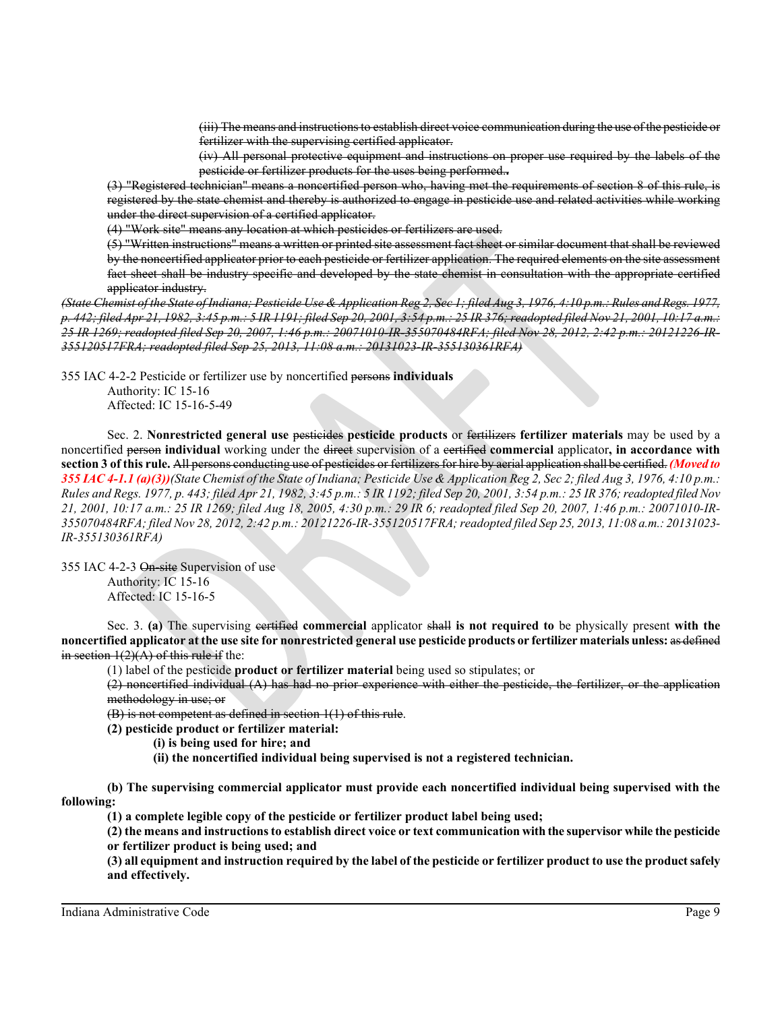(iii) The means and instructions to establish direct voice communication during the use of the pesticide or fertilizer with the supervising certified applicator.

(iv) All personal protective equipment and instructions on proper use required by the labels of the pesticide or fertilizer products for the uses being performed.**.**

(3) "Registered technician" means a noncertified person who, having met the requirements of section 8 of this rule, is registered by the state chemist and thereby is authorized to engage in pesticide use and related activities while working under the direct supervision of a certified applicator.

(4) "Work site" means any location at which pesticides or fertilizers are used.

(5) "Written instructions" means a written or printed site assessment fact sheet or similar document that shall be reviewed by the noncertified applicator prior to each pesticide or fertilizer application. The required elements on the site assessment fact sheet shall be industry specific and developed by the state chemist in consultation with the appropriate certified applicator industry.

*(State Chemist of the State of Indiana; Pesticide Use & Application Reg 2, Sec 1; filed Aug 3, 1976, 4:10 p.m.: Rules and Regs. 1977, p. 442; filed Apr 21, 1982, 3:45 p.m.: 5 IR 1191; filed Sep 20, 2001, 3:54 p.m.: 25 IR 376; readopted filed Nov 21, 2001, 10:17 a.m.:*  .<br>25 IR 1269; readopted filed Sep 20, 2007, 1:46 p.m.: 20071010 IR 355070484RFA; filed Nov 28, 2012, 2:42 p.m.: 20121226-IR-*355120517FRA; readopted filed Sep 25, 2013, 11:08 a.m.: 20131023-IR-355130361RFA)*

355 IAC 4-2-2 Pesticide or fertilizer use by noncertified persons **individuals**

Authority: IC 15-16 Affected: IC 15-16-5-49

Sec. 2. **Nonrestricted general use** pesticides **pesticide products** or fertilizers **fertilizer materials** may be used by a noncertified person **individual** working under the direct supervision of a certified **commercial** applicator**, in accordance with section 3 of this rule.** All persons conducting use of pesticides or fertilizers for hire by aerial application shall be certified. *(Moved to 355 IAC 4-1.1 (a)(3))(State Chemist of the State of Indiana; Pesticide Use & Application Reg 2, Sec 2; filed Aug 3, 1976, 4:10 p.m.: Rules and Regs. 1977, p. 443; filed Apr 21, 1982, 3:45 p.m.: 5 IR 1192; filed Sep 20, 2001, 3:54 p.m.: 25 IR 376; readopted filed Nov 21, 2001, 10:17 a.m.: 25 IR 1269; filed Aug 18, 2005, 4:30 p.m.: 29 IR 6; readopted filed Sep 20, 2007, 1:46 p.m.: 20071010-IR-355070484RFA; filed Nov 28, 2012, 2:42 p.m.: 20121226-IR-355120517FRA; readopted filed Sep 25, 2013, 11:08 a.m.: 20131023- IR-355130361RFA)*

355 IAC 4-2-3 On-site Supervision of use Authority: IC 15-16 Affected: IC 15-16-5

Sec. 3. **(a)** The supervising certified **commercial** applicator shall **is not required to** be physically present **with the noncertified applicator at the use site for nonrestricted general use pesticide products or fertilizer materials unless:** as defined in section  $1(2)(A)$  of this rule if the:

(1) label of the pesticide **product or fertilizer material** being used so stipulates; or

(2) noncertified individual (A) has had no prior experience with either the pesticide, the fertilizer, or the application methodology in use; or

(B) is not competent as defined in section 1(1) of this rule.

**(2) pesticide product or fertilizer material:**

**(i) is being used for hire; and** 

**(ii) the noncertified individual being supervised is not a registered technician.**

**(b) The supervising commercial applicator must provide each noncertified individual being supervised with the following:**

**(1) a complete legible copy of the pesticide or fertilizer product label being used;**

**(2) the means and instructions to establish direct voice or text communication with the supervisor while the pesticide or fertilizer product is being used; and**

**(3) all equipment and instruction required by the label of the pesticide or fertilizer product to use the product safely and effectively.**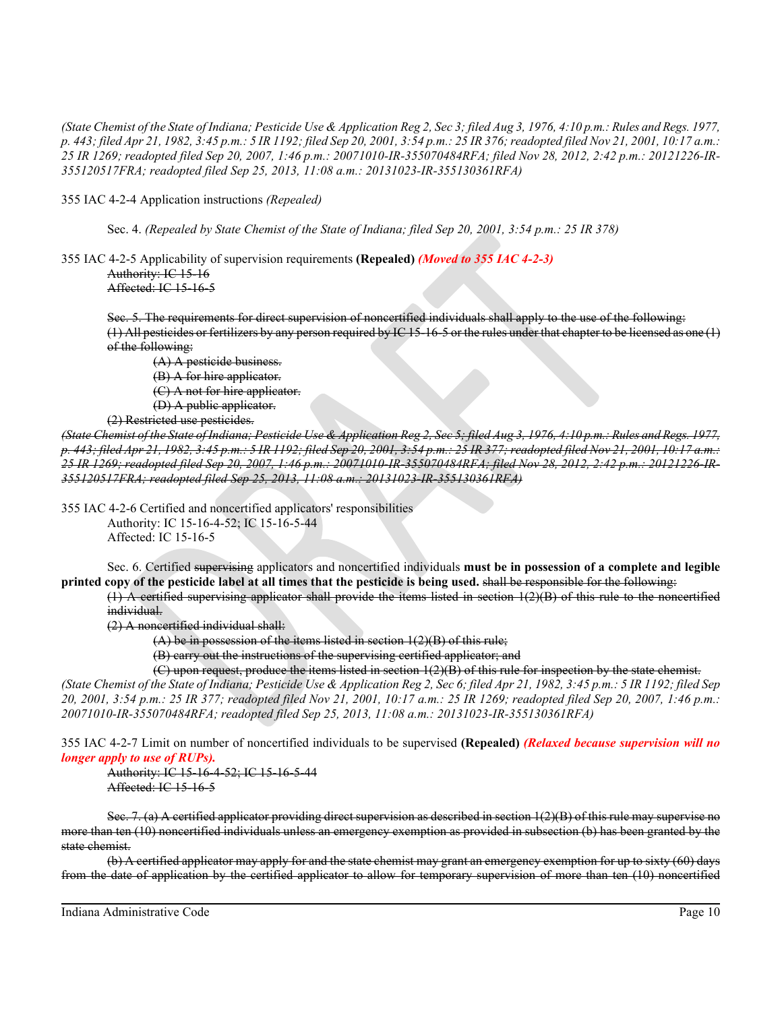*(State Chemist of the State of Indiana; Pesticide Use & Application Reg 2, Sec 3; filed Aug 3, 1976, 4:10 p.m.: Rules and Regs. 1977, p. 443; filed Apr 21, 1982, 3:45 p.m.: 5 IR 1192; filed Sep 20, 2001, 3:54 p.m.: 25 IR 376; readopted filed Nov 21, 2001, 10:17 a.m.: 25 IR 1269; readopted filed Sep 20, 2007, 1:46 p.m.: 20071010-IR-355070484RFA; filed Nov 28, 2012, 2:42 p.m.: 20121226-IR-355120517FRA; readopted filed Sep 25, 2013, 11:08 a.m.: 20131023-IR-355130361RFA)*

355 IAC 4-2-4 Application instructions *(Repealed)*

Sec. 4. *(Repealed by State Chemist of the State of Indiana; filed Sep 20, 2001, 3:54 p.m.: 25 IR 378)*

355 IAC 4-2-5 Applicability of supervision requirements **(Repealed)** *(Moved to 355 IAC 4-2-3)* Authority: IC 15-16 Affected: IC 15-16-5

Sec. 5. The requirements for direct supervision of noncertified individuals shall apply to the use of the following:  $(1)$  All pesticides or fertilizers by any person required by IC 15-16-5 or the rules under that chapter to be licensed as one  $(1)$ of the following:

(A) A pesticide business. (B) A for hire applicator. (C) A not for hire applicator. (D) A public applicator.

(2) Restricted use pesticides.

*(State Chemist of the State of Indiana; Pesticide Use & Application Reg 2, Sec 5; filed Aug 3, 1976, 4:10 p.m.: Rules and Regs. 1977, p. 443; filed Apr 21, 1982, 3:45 p.m.: 5 IR 1192; filed Sep 20, 2001, 3:54 p.m.: 25 IR 377; readopted filed Nov 21, 2001, 10:17 a.m.: 25 IR 1269; readopted filed Sep 20, 2007, 1:46 p.m.: 20071010-IR-355070484RFA; filed Nov 28, 2012, 2:42 p.m.: 20121226-IR-355120517FRA; readopted filed Sep 25, 2013, 11:08 a.m.: 20131023-IR-355130361RFA)*

355 IAC 4-2-6 Certified and noncertified applicators' responsibilities Authority: IC 15-16-4-52; IC 15-16-5-44

Affected: IC 15-16-5

Sec. 6. Certified supervising applicators and noncertified individuals **must be in possession of a complete and legible printed copy of the pesticide label at all times that the pesticide is being used.** shall be responsible for the following:

(1) A certified supervising applicator shall provide the items listed in section 1(2)(B) of this rule to the noncertified individual.

(2) A noncertified individual shall:

(A) be in possession of the items listed in section 1(2)(B) of this rule;

(B) carry out the instructions of the supervising certified applicator; and

(C) upon request, produce the items listed in section 1(2)(B) of this rule for inspection by the state chemist.

*(State Chemist of the State of Indiana; Pesticide Use & Application Reg 2, Sec 6; filed Apr 21, 1982, 3:45 p.m.: 5 IR 1192; filed Sep 20, 2001, 3:54 p.m.: 25 IR 377; readopted filed Nov 21, 2001, 10:17 a.m.: 25 IR 1269; readopted filed Sep 20, 2007, 1:46 p.m.: 20071010-IR-355070484RFA; readopted filed Sep 25, 2013, 11:08 a.m.: 20131023-IR-355130361RFA)*

355 IAC 4-2-7 Limit on number of noncertified individuals to be supervised **(Repealed)** *(Relaxed because supervision will no longer apply to use of RUPs).*

Authority: IC 15-16-4-52; IC 15-16-5-44 Affected: IC 15-16-5

Sec. 7. (a) A certified applicator providing direct supervision as described in section  $1(2)(B)$  of this rule may supervise no more than ten (10) noncertified individuals unless an emergency exemption as provided in subsection (b) has been granted by the state chemist.

(b) A certified applicator may apply for and the state chemist may grant an emergency exemption for up to sixty (60) days from the date of application by the certified applicator to allow for temporary supervision of more than ten (10) noncertified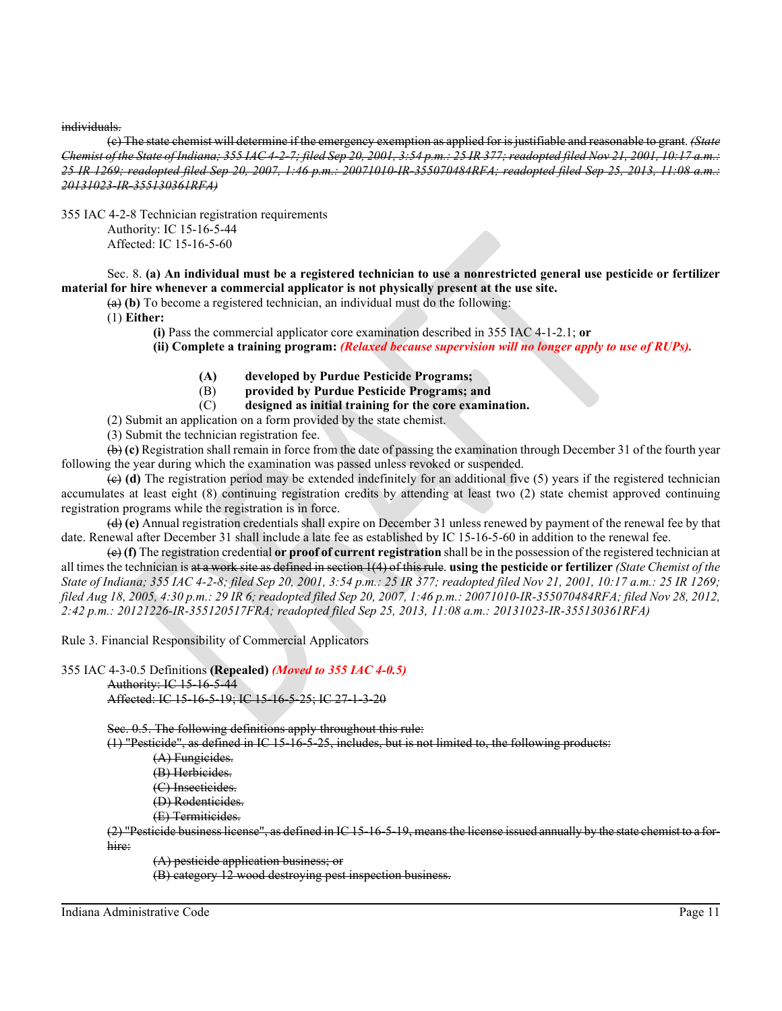individuals.

(c) The state chemist will determine if the emergency exemption as applied for is justifiable and reasonable to grant. *(State Chemist of the State of Indiana; 355 IAC 4-2-7; filed Sep 20, 2001, 3:54 p.m.: 25 IR 377; readopted filed Nov 21, 2001, 10:17 a.m.: 25 IR 1269; readopted filed Sep 20, 2007, 1:46 p.m.: 20071010-IR-355070484RFA; readopted filed Sep 25, 2013, 11:08 a.m.: 20131023-IR-355130361RFA)*

355 IAC 4-2-8 Technician registration requirements Authority: IC 15-16-5-44 Affected: IC 15-16-5-60

Sec. 8. **(a) An individual must be a registered technician to use a nonrestricted general use pesticide or fertilizer material for hire whenever a commercial applicator is not physically present at the use site.**

(a) **(b)** To become a registered technician, an individual must do the following:

(1) **Either:**

**(i)** Pass the commercial applicator core examination described in 355 IAC 4-1-2.1; **or**

**(ii) Complete a training program:** *(Relaxed because supervision will no longer apply to use of RUPs).*

- **(A) developed by Purdue Pesticide Programs;**
- (B) **provided by Purdue Pesticide Programs; and**
- (C) **designed as initial training for the core examination.**
- (2) Submit an application on a form provided by the state chemist.
- (3) Submit the technician registration fee.

(b) **(c)** Registration shall remain in force from the date of passing the examination through December 31 of the fourth year following the year during which the examination was passed unless revoked or suspended.

 $\leftrightarrow$  (d) The registration period may be extended indefinitely for an additional five (5) years if the registered technician accumulates at least eight (8) continuing registration credits by attending at least two (2) state chemist approved continuing registration programs while the registration is in force.

(d) **(e)** Annual registration credentials shall expire on December 31 unless renewed by payment of the renewal fee by that date. Renewal after December 31 shall include a late fee as established by IC 15-16-5-60 in addition to the renewal fee.

(e) **(f)** The registration credential **or proof of current registration** shall be in the possession of the registered technician at all times the technician is at a work site as defined in section 1(4) of this rule. **using the pesticide or fertilizer** *(State Chemist of the State of Indiana; 355 IAC 4-2-8; filed Sep 20, 2001, 3:54 p.m.: 25 IR 377; readopted filed Nov 21, 2001, 10:17 a.m.: 25 IR 1269; filed Aug 18, 2005, 4:30 p.m.: 29 IR 6; readopted filed Sep 20, 2007, 1:46 p.m.: 20071010-IR-355070484RFA; filed Nov 28, 2012, 2:42 p.m.: 20121226-IR-355120517FRA; readopted filed Sep 25, 2013, 11:08 a.m.: 20131023-IR-355130361RFA)*

Rule 3. Financial Responsibility of Commercial Applicators

355 IAC 4-3-0.5 Definitions **(Repealed)** *(Moved to 355 IAC 4-0.5)* Authority: IC 15-16-5-44 Affected: IC 15-16-5-19; IC 15-16-5-25; IC 27-1-3-20

Sec. 0.5. The following definitions apply throughout this rule:

 $(1)$  "Pesticide", as defined in IC 15-16-5-25, includes, but is not limited to, the following products:

(A) Fungicides. (B) Herbicides.

(C) Insecticides.

(D) Rodenticides.

(E) Termiticides.

(2) "Pesticide business license", as defined in IC 15-16-5-19, means the license issued annually by the state chemist to a forhire:

(A) pesticide application business; or

(B) category 12 wood destroying pest inspection business.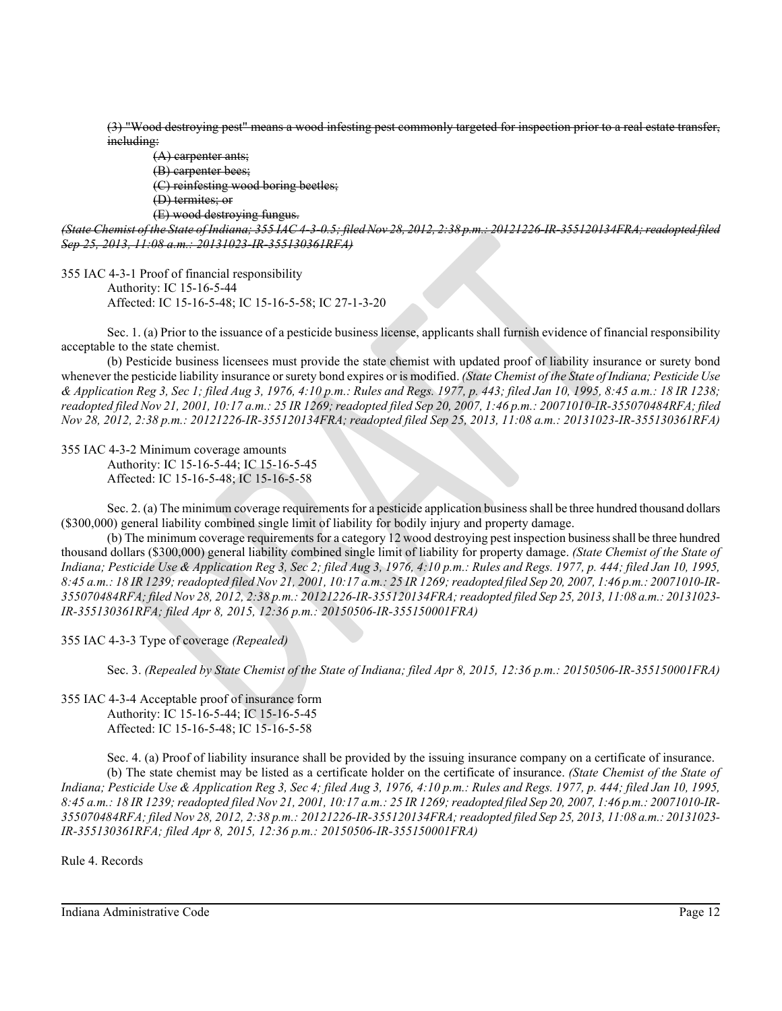(3) "Wood destroying pest" means a wood infesting pest commonly targeted for inspection prior to a real estate transfer, including:

(A) carpenter ants; (B) carpenter bees; (C) reinfesting wood boring beetles; (D) termites; or (E) wood destroying fungus.

*(State Chemist of the State of Indiana; 355 IAC 4-3-0.5; filedNov 28, 2012, 2:38 p.m.: 20121226-IR-355120134FRA; readopted filed Sep 25, 2013, 11:08 a.m.: 20131023-IR-355130361RFA)*

355 IAC 4-3-1 Proof of financial responsibility Authority: IC 15-16-5-44 Affected: IC 15-16-5-48; IC 15-16-5-58; IC 27-1-3-20

Sec. 1. (a) Prior to the issuance of a pesticide business license, applicants shall furnish evidence of financial responsibility acceptable to the state chemist.

(b) Pesticide business licensees must provide the state chemist with updated proof of liability insurance or surety bond whenever the pesticide liability insurance or surety bond expires or is modified. *(State Chemist of the State of Indiana; Pesticide Use & Application Reg 3, Sec 1; filed Aug 3, 1976, 4:10 p.m.: Rules and Regs. 1977, p. 443; filed Jan 10, 1995, 8:45 a.m.: 18 IR 1238; readopted filed Nov 21, 2001, 10:17 a.m.: 25 IR 1269; readopted filed Sep 20, 2007, 1:46 p.m.: 20071010-IR-355070484RFA; filed Nov 28, 2012, 2:38 p.m.: 20121226-IR-355120134FRA; readopted filed Sep 25, 2013, 11:08 a.m.: 20131023-IR-355130361RFA)*

355 IAC 4-3-2 Minimum coverage amounts

Authority: IC 15-16-5-44; IC 15-16-5-45 Affected: IC 15-16-5-48; IC 15-16-5-58

Sec. 2. (a) The minimum coverage requirements for a pesticide application business shall be three hundred thousand dollars (\$300,000) general liability combined single limit of liability for bodily injury and property damage.

(b) The minimum coverage requirements for a category 12 wood destroying pest inspection business shall be three hundred thousand dollars (\$300,000) general liability combined single limit of liability for property damage. *(State Chemist of the State of Indiana; Pesticide Use & Application Reg 3, Sec 2; filed Aug 3, 1976, 4:10 p.m.: Rules and Regs. 1977, p. 444; filed Jan 10, 1995, 8:45 a.m.: 18 IR 1239; readopted filed Nov 21, 2001, 10:17 a.m.: 25 IR 1269; readopted filed Sep 20, 2007, 1:46 p.m.: 20071010-IR-355070484RFA; filed Nov 28, 2012, 2:38 p.m.: 20121226-IR-355120134FRA; readopted filed Sep 25, 2013, 11:08 a.m.: 20131023- IR-355130361RFA; filed Apr 8, 2015, 12:36 p.m.: 20150506-IR-355150001FRA)*

355 IAC 4-3-3 Type of coverage *(Repealed)*

Sec. 3. *(Repealed by State Chemist of the State of Indiana; filed Apr 8, 2015, 12:36 p.m.: 20150506-IR-355150001FRA)*

355 IAC 4-3-4 Acceptable proof of insurance form Authority: IC 15-16-5-44; IC 15-16-5-45 Affected: IC 15-16-5-48; IC 15-16-5-58

Sec. 4. (a) Proof of liability insurance shall be provided by the issuing insurance company on a certificate of insurance. (b) The state chemist may be listed as a certificate holder on the certificate of insurance. *(State Chemist of the State of Indiana; Pesticide Use & Application Reg 3, Sec 4; filed Aug 3, 1976, 4:10 p.m.: Rules and Regs. 1977, p. 444; filed Jan 10, 1995, 8:45 a.m.: 18 IR 1239; readopted filed Nov 21, 2001, 10:17 a.m.: 25 IR 1269; readopted filed Sep 20, 2007, 1:46 p.m.: 20071010-IR-355070484RFA; filed Nov 28, 2012, 2:38 p.m.: 20121226-IR-355120134FRA; readopted filed Sep 25, 2013, 11:08 a.m.: 20131023- IR-355130361RFA; filed Apr 8, 2015, 12:36 p.m.: 20150506-IR-355150001FRA)*

Rule 4. Records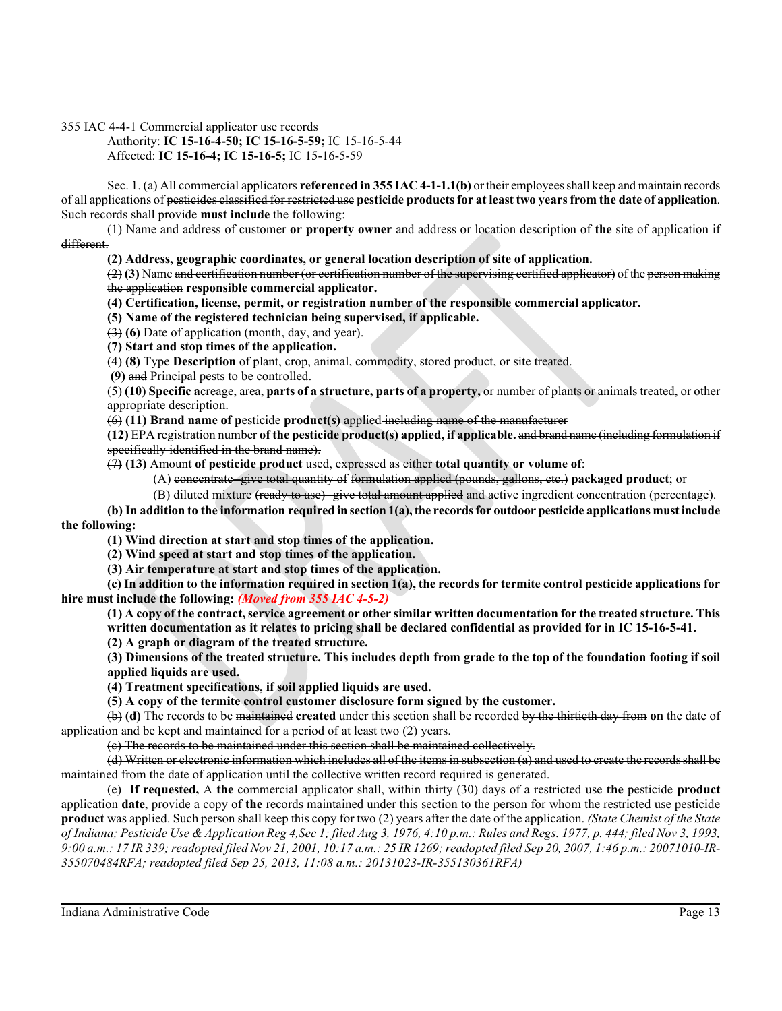355 IAC 4-4-1 Commercial applicator use records

Authority: **IC 15-16-4-50; IC 15-16-5-59;** IC 15-16-5-44 Affected: **IC 15-16-4; IC 15-16-5;** IC 15-16-5-59

Sec. 1. (a) All commercial applicators **referenced in 355 IAC 4-1-1.1(b)** or their employees shall keep and maintain records of all applications of pesticides classified for restricted use **pesticide productsfor at least two years from the date of application**. Such records shall provide **must include** the following:

(1) Name and address of customer **or property owner** and address or location description of **the** site of application if different.

**(2) Address, geographic coordinates, or general location description of site of application.**

(2) **(3)** Name and certification number (or certification number of the supervising certified applicator) of the person making the application **responsible commercial applicator.**

**(4) Certification, license, permit, or registration number of the responsible commercial applicator.**

**(5) Name of the registered technician being supervised, if applicable.**

(3) **(6)** Date of application (month, day, and year).

**(7) Start and stop times of the application.**

(4) **(8)** Type **Description** of plant, crop, animal, commodity, stored product, or site treated.

**(9)** and Principal pests to be controlled.

(5) **(10) Specific a**creage, area, **parts of a structure, parts of a property,** or number of plants or animals treated, or other appropriate description.

(6) **(11) Brand name of p**esticide **product(s)** applied including name of the manufacturer

**(12)** EPA registration number **of the pesticide product(s) applied, if applicable.** and brand name (including formulation if specifically identified in the brand name).

(7**) (13)** Amount **of pesticide product** used, expressed as either **total quantity or volume of**:

(A) concentrate─give total quantity of formulation applied (pounds, gallons, etc.) **packaged product**; or

(B) diluted mixture (ready to use)—give total amount applied and active ingredient concentration (percentage).

**(b) In addition to the information required in section 1(a), the records for outdoor pesticide applications must include the following:**

**(1) Wind direction at start and stop times of the application.**

**(2) Wind speed at start and stop times of the application.**

**(3) Air temperature at start and stop times of the application.**

**(c) In addition to the information required in section 1(a), the records for termite control pesticide applications for hire must include the following:** *(Moved from 355 IAC 4-5-2)*

**(1) A copy of the contract, service agreement or other similar written documentation for the treated structure. This** 

**written documentation as it relates to pricing shall be declared confidential as provided for in IC 15-16-5-41.**

**(2) A graph or diagram of the treated structure.**

**(3) Dimensions of the treated structure. This includes depth from grade to the top of the foundation footing if soil applied liquids are used.**

**(4) Treatment specifications, if soil applied liquids are used.**

**(5) A copy of the termite control customer disclosure form signed by the customer.**

(b) **(d)** The records to be maintained **created** under this section shall be recorded by the thirtieth day from **on** the date of application and be kept and maintained for a period of at least two (2) years.

(c) The records to be maintained under this section shall be maintained collectively.

(d) Written or electronic information which includes all of the items in subsection (a) and used to create the records shall be maintained from the date of application until the collective written record required is generated.

(e) **If requested,** A **the** commercial applicator shall, within thirty (30) days of a restricted use **the** pesticide **product**  application **date**, provide a copy of **the** records maintained under this section to the person for whom the restricted use pesticide **product** was applied. Such person shall keep this copy for two (2) years after the date of the application. *(State Chemist of the State of Indiana; Pesticide Use & Application Reg 4,Sec 1; filed Aug 3, 1976, 4:10 p.m.: Rules and Regs. 1977, p. 444; filed Nov 3, 1993, 9:00 a.m.: 17 IR 339; readopted filed Nov 21, 2001, 10:17 a.m.: 25 IR 1269; readopted filed Sep 20, 2007, 1:46 p.m.: 20071010-IR-355070484RFA; readopted filed Sep 25, 2013, 11:08 a.m.: 20131023-IR-355130361RFA)*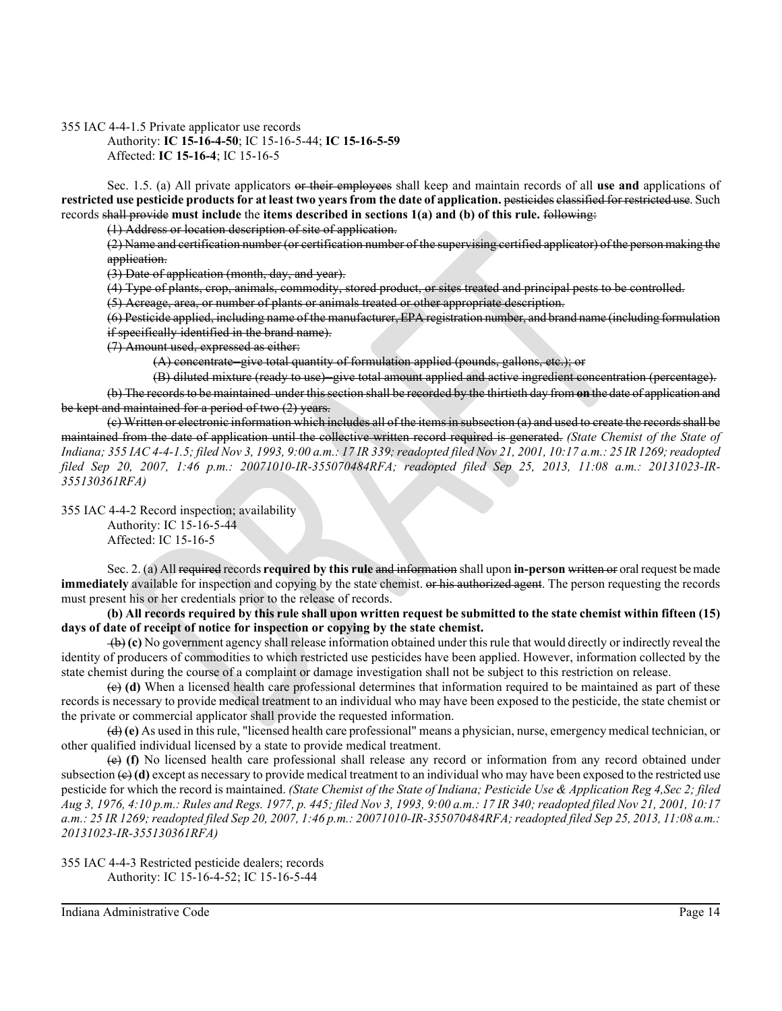355 IAC 4-4-1.5 Private applicator use records

Authority: **IC 15-16-4-50**; IC 15-16-5-44; **IC 15-16-5-59** Affected: **IC 15-16-4**; IC 15-16-5

Sec. 1.5. (a) All private applicators or their employees shall keep and maintain records of all **use and** applications of **restricted use pesticide productsfor at least two years from the date of application.** pesticides classified for restricted use. Such records shall provide **must include** the **items described in sections 1(a) and (b) of this rule.** following:

(1) Address or location description of site of application.

(2) Name and certification number (or certification number of the supervising certified applicator) of the person making the application.

(3) Date of application (month, day, and year).

(4) Type of plants, crop, animals, commodity, stored product, or sites treated and principal pests to be controlled.

(5) Acreage, area, or number of plants or animals treated or other appropriate description.

(6) Pesticide applied, including name of the manufacturer, EPA registration number, and brand name (including formulation if specifically identified in the brand name).

(7) Amount used, expressed as either:

(A) concentrate─give total quantity of formulation applied (pounds, gallons, etc.); or

(B) diluted mixture (ready to use)─give total amount applied and active ingredient concentration (percentage).

(b) The records to be maintained under this section shall be recorded by the thirtieth day from **on** the date of application and be kept and maintained for a period of two (2) years.

(c) Written or electronic information which includes all of the items in subsection (a) and used to create the records shall be maintained from the date of application until the collective written record required is generated. *(State Chemist of the State of Indiana; 355 IAC 4-4-1.5; filed Nov 3, 1993, 9:00 a.m.: 17 IR 339; readopted filed Nov 21, 2001, 10:17 a.m.: 25 IR 1269; readopted filed Sep 20, 2007, 1:46 p.m.: 20071010-IR-355070484RFA; readopted filed Sep 25, 2013, 11:08 a.m.: 20131023-IR-355130361RFA)*

355 IAC 4-4-2 Record inspection; availability Authority: IC 15-16-5-44 Affected: IC 15-16-5

Sec. 2. (a) All required records **required by this rule** and information shall upon **in-person** written or oral request be made **immediately** available for inspection and copying by the state chemist. or his authorized agent. The person requesting the records must present his or her credentials prior to the release of records.

**(b) All records required by this rule shall upon written request be submitted to the state chemist within fifteen (15) days of date of receipt of notice for inspection or copying by the state chemist.** 

(b) **(c)** No government agency shall release information obtained under this rule that would directly or indirectly reveal the identity of producers of commodities to which restricted use pesticides have been applied. However, information collected by the state chemist during the course of a complaint or damage investigation shall not be subject to this restriction on release.

(c) **(d)** When a licensed health care professional determines that information required to be maintained as part of these records is necessary to provide medical treatment to an individual who may have been exposed to the pesticide, the state chemist or the private or commercial applicator shall provide the requested information.

(d) **(e)** As used in this rule, "licensed health care professional" means a physician, nurse, emergency medical technician, or other qualified individual licensed by a state to provide medical treatment.

(e) **(f)** No licensed health care professional shall release any record or information from any record obtained under subsection  $\leftrightarrow$  **(d)** except as necessary to provide medical treatment to an individual who may have been exposed to the restricted use pesticide for which the record is maintained. *(State Chemist of the State of Indiana; Pesticide Use & Application Reg 4,Sec 2; filed Aug 3, 1976, 4:10 p.m.: Rules and Regs. 1977, p. 445; filed Nov 3, 1993, 9:00 a.m.: 17 IR 340; readopted filed Nov 21, 2001, 10:17 a.m.: 25 IR 1269; readopted filed Sep 20, 2007, 1:46 p.m.: 20071010-IR-355070484RFA; readopted filed Sep 25, 2013, 11:08 a.m.: 20131023-IR-355130361RFA)*

355 IAC 4-4-3 Restricted pesticide dealers; records Authority: IC 15-16-4-52; IC 15-16-5-44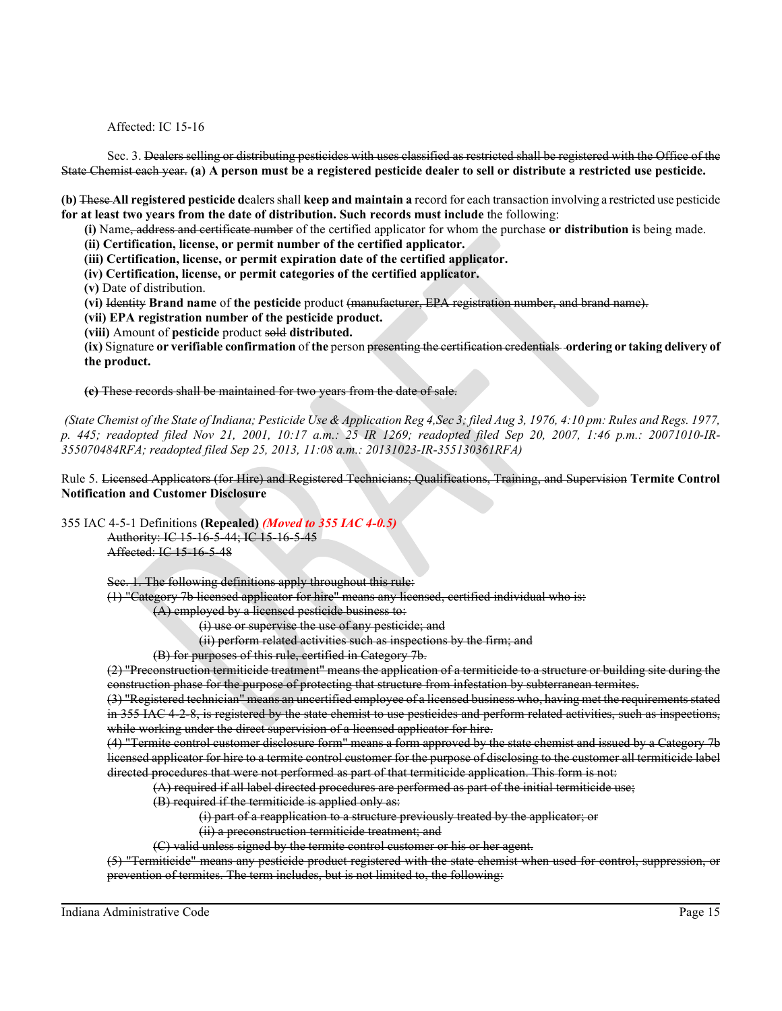Affected: IC 15-16

Sec. 3. Dealers selling or distributing pesticides with uses classified as restricted shall be registered with the Office of the State Chemist each year. **(a) A person must be a registered pesticide dealer to sell or distribute a restricted use pesticide.** 

**(b)** These **All registered pesticide d**ealers shall **keep and maintain a** record for each transaction involving a restricted use pesticide **for at least two years from the date of distribution. Such records must include** the following:

**(i)** Name, address and certificate number of the certified applicator for whom the purchase **or distribution i**s being made.

**(ii) Certification, license, or permit number of the certified applicator.**

**(iii) Certification, license, or permit expiration date of the certified applicator.**

**(iv) Certification, license, or permit categories of the certified applicator.**

**(v)** Date of distribution.

**(vi)** Identity **Brand name** of **the pesticide** product (manufacturer, EPA registration number, and brand name).

**(vii) EPA registration number of the pesticide product.**

**(viii)** Amount of **pesticide** product sold **distributed.**

**(ix)** Signature **or verifiable confirmation** of **the** person presenting the certification credentials **ordering or taking delivery of the product.**

**(c)** These records shall be maintained for two years from the date of sale.

*(State Chemist of the State of Indiana; Pesticide Use & Application Reg 4,Sec 3; filed Aug 3, 1976, 4:10 pm: Rules and Regs. 1977, p. 445; readopted filed Nov 21, 2001, 10:17 a.m.: 25 IR 1269; readopted filed Sep 20, 2007, 1:46 p.m.: 20071010-IR-355070484RFA; readopted filed Sep 25, 2013, 11:08 a.m.: 20131023-IR-355130361RFA)*

Rule 5. Licensed Applicators (for Hire) and Registered Technicians; Qualifications, Training, and Supervision **Termite Control Notification and Customer Disclosure**

355 IAC 4-5-1 Definitions **(Repealed)** *(Moved to 355 IAC 4-0.5)*

Authority: IC 15-16-5-44; IC 15-16-5-45 Affected: IC 15-16-5-48

Sec. 1. The following definitions apply throughout this rule:

(1) "Category 7b licensed applicator for hire" means any licensed, certified individual who is:

(A) employed by a licensed pesticide business to:

(i) use or supervise the use of any pesticide; and

(ii) perform related activities such as inspections by the firm; and

(B) for purposes of this rule, certified in Category 7b.

(2) "Preconstruction termiticide treatment" means the application of a termiticide to a structure or building site during the construction phase for the purpose of protecting that structure from infestation by subterranean termites.

(3) "Registered technician" means an uncertified employee of a licensed business who, having met the requirements stated in 355 IAC 4-2-8, is registered by the state chemist to use pesticides and perform related activities, such as inspections, while working under the direct supervision of a licensed applicator for hire.

(4) "Termite control customer disclosure form" means a form approved by the state chemist and issued by a Category 7b licensed applicator for hire to a termite control customer for the purpose of disclosing to the customer all termiticide label directed procedures that were not performed as part of that termiticide application. This form is not:

(A) required if all label directed procedures are performed as part of the initial termiticide use;

(B) required if the termiticide is applied only as:

(i) part of a reapplication to a structure previously treated by the applicator; or

(ii) a preconstruction termiticide treatment; and

(C) valid unless signed by the termite control customer or his or her agent.

(5) "Termiticide" means any pesticide product registered with the state chemist when used for control, suppression, or prevention of termites. The term includes, but is not limited to, the following: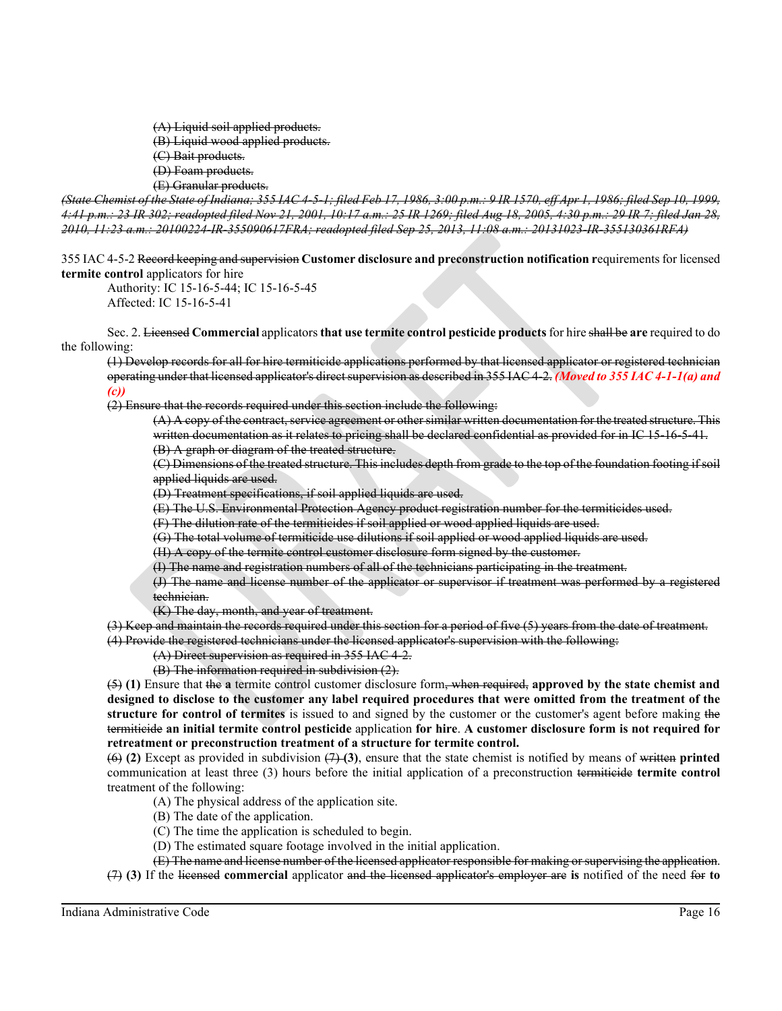(A) Liquid soil applied products. (B) Liquid wood applied products. (C) Bait products. (D) Foam products. (E) Granular products.

*(State Chemist of the State of Indiana; 355 IAC 4-5-1; filed Feb 17, 1986, 3:00 p.m.: 9 IR 1570, eff Apr 1, 1986; filed Sep 10, 1999, 4:41 p.m.: 23 IR 302; readopted filed Nov 21, 2001, 10:17 a.m.: 25 IR 1269; filed Aug 18, 2005, 4:30 p.m.: 29 IR 7; filed Jan 28, 2010, 11:23 a.m.: 20100224-IR-355090617FRA; readopted filed Sep 25, 2013, 11:08 a.m.: 20131023-IR-355130361RFA)*

355 IAC 4-5-2 Record keeping and supervision **Customer disclosure and preconstruction notification r**equirements for licensed **termite control** applicators for hire

Authority: IC 15-16-5-44; IC 15-16-5-45 Affected: IC 15-16-5-41

Sec. 2. Licensed **Commercial** applicators **that use termite control pesticide products**for hire shall be **are** required to do the following:

(1) Develop records for all for hire termiticide applications performed by that licensed applicator or registered technician operating under that licensed applicator's direct supervision as described in 355 IAC 4-2. *(Moved to 355 IAC 4-1-1(a) and (c))*

(2) Ensure that the records required under this section include the following:

(A) A copy of the contract, service agreement or other similar written documentation for the treated structure. This written documentation as it relates to pricing shall be declared confidential as provided for in IC 15-16-5-41. (B) A graph or diagram of the treated structure.

(C) Dimensions of the treated structure. This includes depth from grade to the top of the foundation footing if soil applied liquids are used.

(D) Treatment specifications, if soil applied liquids are used.

(E) The U.S. Environmental Protection Agency product registration number for the termiticides used.

(F) The dilution rate of the termiticides if soil applied or wood applied liquids are used.

(G) The total volume of termiticide use dilutions if soil applied or wood applied liquids are used.

(H) A copy of the termite control customer disclosure form signed by the customer.

(I) The name and registration numbers of all of the technicians participating in the treatment.

(J) The name and license number of the applicator or supervisor if treatment was performed by a registered technician.

(K) The day, month, and year of treatment.

(3) Keep and maintain the records required under this section for a period of five (5) years from the date of treatment. (4) Provide the registered technicians under the licensed applicator's supervision with the following:

(A) Direct supervision as required in 355 IAC 4-2.

(B) The information required in subdivision (2).

(5) **(1)** Ensure that the **a** termite control customer disclosure form, when required, **approved by the state chemist and designed to disclose to the customer any label required procedures that were omitted from the treatment of the structure for control of termites** is issued to and signed by the customer or the customer's agent before making the termiticide **an initial termite control pesticide** application **for hire**. **A customer disclosure form is not required for retreatment or preconstruction treatment of a structure for termite control.**

 $(6)$  (2) Except as provided in subdivision  $(7)$  (3), ensure that the state chemist is notified by means of written **printed** communication at least three (3) hours before the initial application of a preconstruction termiticide **termite control**  treatment of the following:

(A) The physical address of the application site.

(B) The date of the application.

(C) The time the application is scheduled to begin.

(D) The estimated square footage involved in the initial application.

(E) The name and license number of the licensed applicator responsible for making or supervising the application.

(7) **(3)** If the licensed **commercial** applicator and the licensed applicator's employer are **is** notified of the need for **to**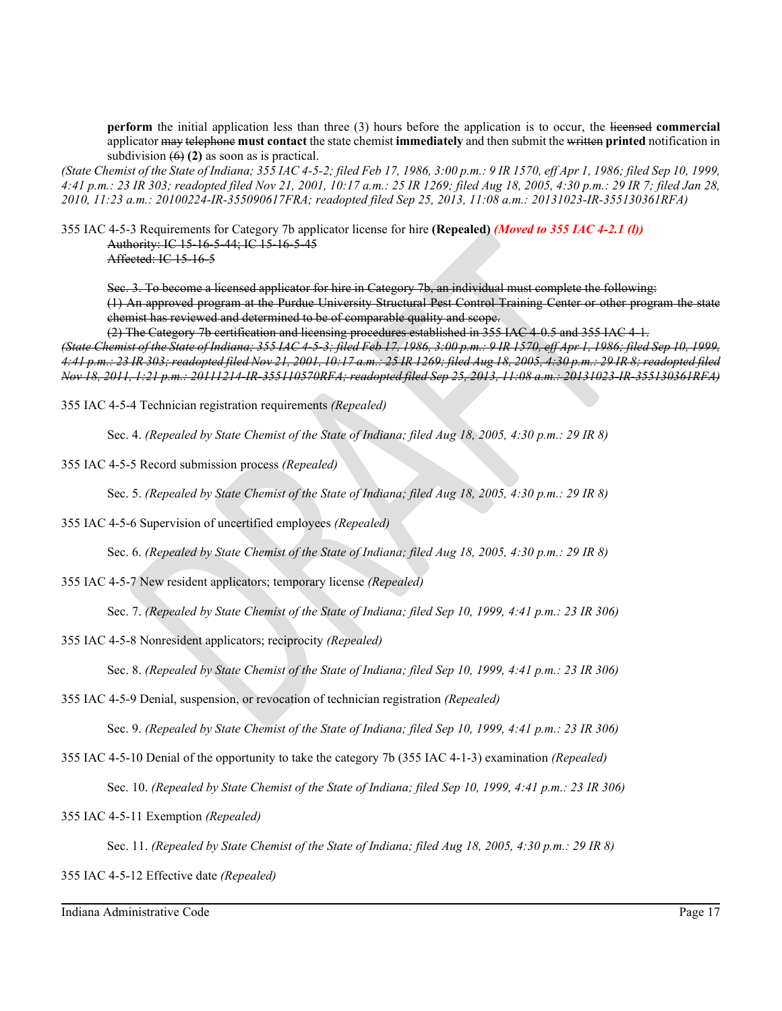**perform** the initial application less than three (3) hours before the application is to occur, the licensed **commercial**  applicator may telephone **must contact** the state chemist **immediately** and then submit the written **printed** notification in subdivision (6) **(2)** as soon as is practical.

*(State Chemist of the State of Indiana; 355 IAC 4-5-2; filed Feb 17, 1986, 3:00 p.m.: 9 IR 1570, eff Apr 1, 1986; filed Sep 10, 1999, 4:41 p.m.: 23 IR 303; readopted filed Nov 21, 2001, 10:17 a.m.: 25 IR 1269; filed Aug 18, 2005, 4:30 p.m.: 29 IR 7; filed Jan 28, 2010, 11:23 a.m.: 20100224-IR-355090617FRA; readopted filed Sep 25, 2013, 11:08 a.m.: 20131023-IR-355130361RFA)*

355 IAC 4-5-3 Requirements for Category 7b applicator license for hire **(Repealed)** *(Moved to 355 IAC 4-2.1 (l))* Authority: IC 15-16-5-44; IC 15-16-5-45 Affected: IC 15-16-5

Sec. 3. To become a licensed applicator for hire in Category 7b, an individual must complete the following: (1) An approved program at the Purdue University Structural Pest Control Training Center or other program the state chemist has reviewed and determined to be of comparable quality and scope.

(2) The Category 7b certification and licensing procedures established in 355 IAC 4-0.5 and 355 IAC 4-1.

*(State Chemist of the State of Indiana; 355 IAC 4-5-3; filed Feb 17, 1986, 3:00 p.m.: 9 IR 1570, eff Apr 1, 1986; filed Sep 10, 1999, 4:41 p.m.: 23 IR 303; readopted filed Nov 21, 2001, 10:17 a.m.: 25 IR 1269; filed Aug 18, 2005, 4:30 p.m.: 29 IR 8; readopted filed Nov 18, 2011, 1:21 p.m.: 20111214-IR-355110570RFA; readopted filed Sep 25, 2013, 11:08 a.m.: 20131023-IR-355130361RFA)*

355 IAC 4-5-4 Technician registration requirements *(Repealed)*

Sec. 4. *(Repealed by State Chemist of the State of Indiana; filed Aug 18, 2005, 4:30 p.m.: 29 IR 8)*

355 IAC 4-5-5 Record submission process *(Repealed)*

Sec. 5. *(Repealed by State Chemist of the State of Indiana; filed Aug 18, 2005, 4:30 p.m.: 29 IR 8)*

355 IAC 4-5-6 Supervision of uncertified employees *(Repealed)*

Sec. 6. *(Repealed by State Chemist of the State of Indiana; filed Aug 18, 2005, 4:30 p.m.: 29 IR 8)*

355 IAC 4-5-7 New resident applicators; temporary license *(Repealed)*

Sec. 7. *(Repealed by State Chemist of the State of Indiana; filed Sep 10, 1999, 4:41 p.m.: 23 IR 306)*

355 IAC 4-5-8 Nonresident applicators; reciprocity *(Repealed)*

Sec. 8. *(Repealed by State Chemist of the State of Indiana; filed Sep 10, 1999, 4:41 p.m.: 23 IR 306)*

355 IAC 4-5-9 Denial, suspension, or revocation of technician registration *(Repealed)*

Sec. 9. *(Repealed by State Chemist of the State of Indiana; filed Sep 10, 1999, 4:41 p.m.: 23 IR 306)*

355 IAC 4-5-10 Denial of the opportunity to take the category 7b (355 IAC 4-1-3) examination *(Repealed)*

Sec. 10. *(Repealed by State Chemist of the State of Indiana; filed Sep 10, 1999, 4:41 p.m.: 23 IR 306)*

355 IAC 4-5-11 Exemption *(Repealed)*

Sec. 11. *(Repealed by State Chemist of the State of Indiana; filed Aug 18, 2005, 4:30 p.m.: 29 IR 8)*

355 IAC 4-5-12 Effective date *(Repealed)*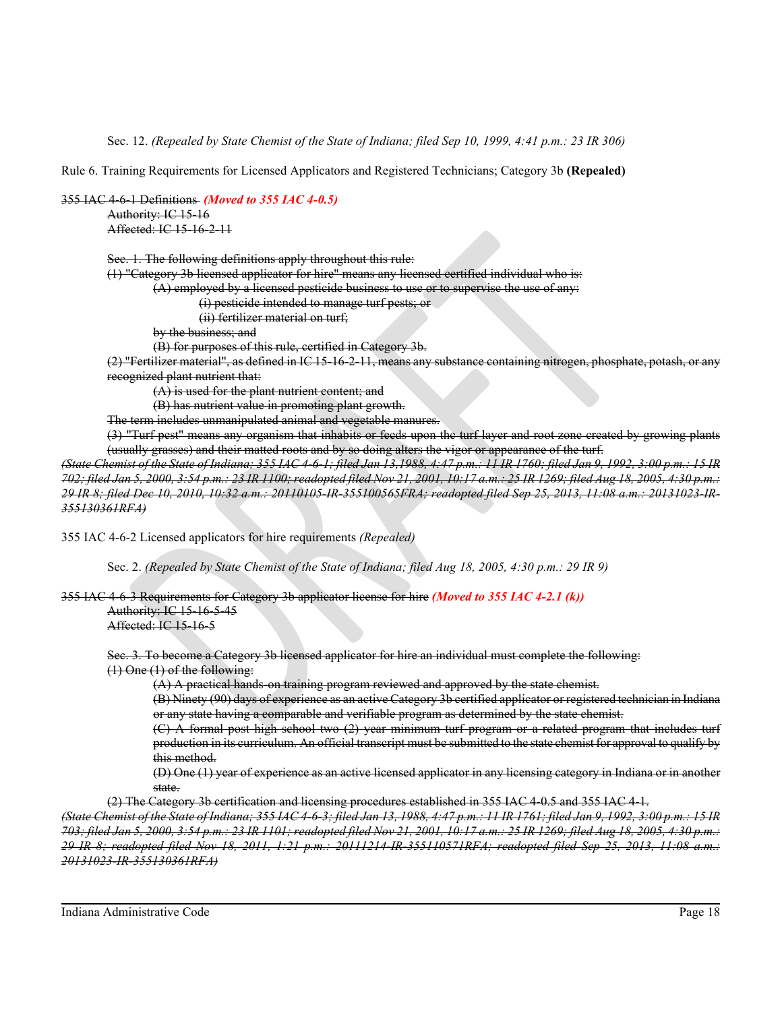Sec. 12. *(Repealed by State Chemist of the State of Indiana; filed Sep 10, 1999, 4:41 p.m.: 23 IR 306)*

Rule 6. Training Requirements for Licensed Applicators and Registered Technicians; Category 3b **(Repealed)**

355 IAC 4-6-1 Definitions *(Moved to 355 IAC 4-0.5)*

Authority: IC 15-16 Affected: IC 15-16-2-11

Sec. 1. The following definitions apply throughout this rule: (1) "Category 3b licensed applicator for hire" means any licensed certified individual who is: (A) employed by a licensed pesticide business to use or to supervise the use of any: (i) pesticide intended to manage turf pests; or (ii) fertilizer material on turf; by the business; and (B) for purposes of this rule, certified in Category 3b. (2) "Fertilizer material", as defined in IC 15-16-2-11, means any substance containing nitrogen, phosphate, potash, or any recognized plant nutrient that: (A) is used for the plant nutrient content; and (B) has nutrient value in promoting plant growth.

The term includes unmanipulated animal and vegetable manures.

(3) "Turf pest" means any organism that inhabits or feeds upon the turf layer and root zone created by growing plants (usually grasses) and their matted roots and by so doing alters the vigor or appearance of the turf.

*(State Chemist of the State of Indiana; 355 IAC 4-6-1; filed Jan 13,1988, 4:47 p.m.: 11 IR 1760; filed Jan 9, 1992, 3:00 p.m.: 15 IR 702; filed Jan 5, 2000, 3:54 p.m.: 23 IR 1100; readopted filed Nov 21, 2001, 10:17 a.m.: 25 IR 1269; filed Aug 18, 2005, 4:30 p.m.: 29 IR 8; filed Dec 10, 2010, 10:32 a.m.: 20110105-IR-355100565FRA; readopted filed Sep 25, 2013, 11:08 a.m.: 20131023-IR-355130361RFA)*

355 IAC 4-6-2 Licensed applicators for hire requirements *(Repealed)*

Sec. 2. *(Repealed by State Chemist of the State of Indiana; filed Aug 18, 2005, 4:30 p.m.: 29 IR 9)*

355 IAC 4-6-3 Requirements for Category 3b applicator license for hire *(Moved to 355 IAC 4-2.1 (k))* Authority: IC 15-16-5-45 Affected: IC 15-16-5

Sec. 3. To become a Category 3b licensed applicator for hire an individual must complete the following:  $(1)$  One  $(1)$  of the following:

(A) A practical hands-on training program reviewed and approved by the state chemist.

(B) Ninety (90) days of experience as an active Category 3b certified applicator or registered technician in Indiana or any state having a comparable and verifiable program as determined by the state chemist.

(C) A formal post high school two (2) year minimum turf program or a related program that includes turf production in its curriculum. An official transcript must be submitted to the state chemist for approval to qualify by this method.

(D) One (1) year of experience as an active licensed applicator in any licensing category in Indiana or in another state.

(2) The Category 3b certification and licensing procedures established in 355 IAC 4-0.5 and 355 IAC 4-1.

*(State Chemist of the State of Indiana; 355 IAC 4-6-3; filed Jan 13, 1988, 4:47 p.m.: 11 IR 1761; filed Jan 9, 1992, 3:00 p.m.: 15 IR 703; filed Jan 5, 2000, 3:54 p.m.: 23 IR 1101; readopted filed Nov 21, 2001, 10:17 a.m.: 25 IR 1269; filed Aug 18, 2005, 4:30 p.m.: 29 IR 8; readopted filed Nov 18, 2011, 1:21 p.m.: 20111214-IR-355110571RFA; readopted filed Sep 25, 2013, 11:08 a.m.: 20131023-IR-355130361RFA)*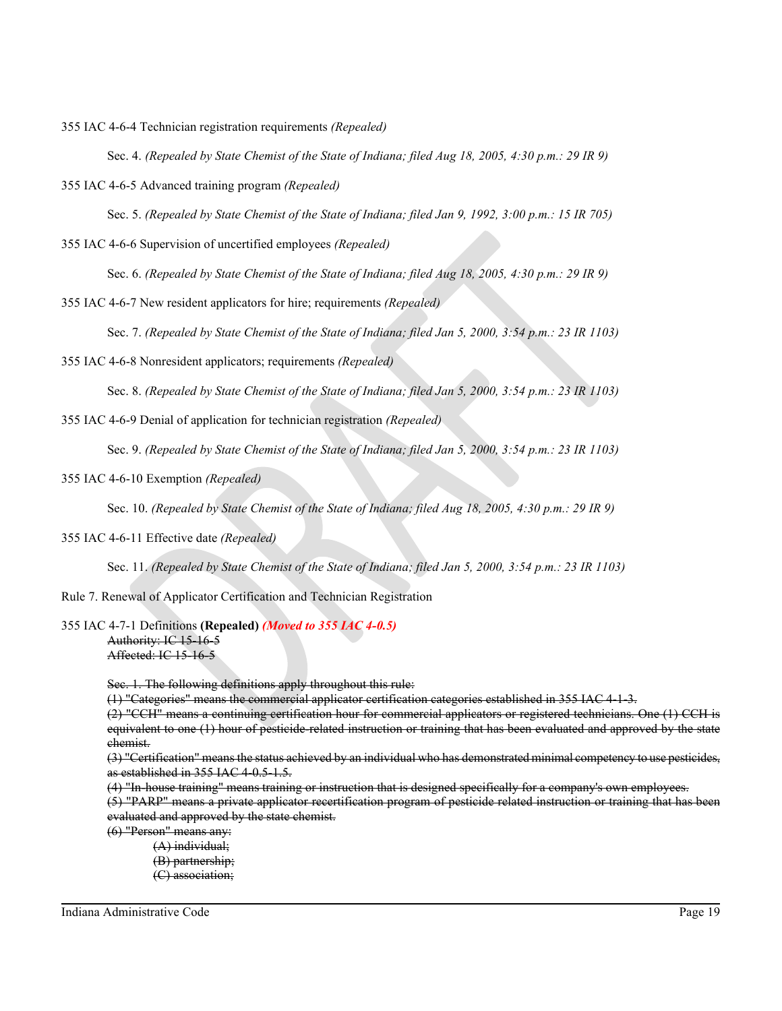355 IAC 4-6-4 Technician registration requirements *(Repealed)*

Sec. 4. *(Repealed by State Chemist of the State of Indiana; filed Aug 18, 2005, 4:30 p.m.: 29 IR 9)*

355 IAC 4-6-5 Advanced training program *(Repealed)*

Sec. 5. *(Repealed by State Chemist of the State of Indiana; filed Jan 9, 1992, 3:00 p.m.: 15 IR 705)*

355 IAC 4-6-6 Supervision of uncertified employees *(Repealed)*

Sec. 6. *(Repealed by State Chemist of the State of Indiana; filed Aug 18, 2005, 4:30 p.m.: 29 IR 9)*

355 IAC 4-6-7 New resident applicators for hire; requirements *(Repealed)*

Sec. 7. *(Repealed by State Chemist of the State of Indiana; filed Jan 5, 2000, 3:54 p.m.: 23 IR 1103)*

355 IAC 4-6-8 Nonresident applicators; requirements *(Repealed)*

Sec. 8. *(Repealed by State Chemist of the State of Indiana; filed Jan 5, 2000, 3:54 p.m.: 23 IR 1103)*

355 IAC 4-6-9 Denial of application for technician registration *(Repealed)*

Sec. 9. *(Repealed by State Chemist of the State of Indiana; filed Jan 5, 2000, 3:54 p.m.: 23 IR 1103)*

355 IAC 4-6-10 Exemption *(Repealed)*

Sec. 10. *(Repealed by State Chemist of the State of Indiana; filed Aug 18, 2005, 4:30 p.m.: 29 IR 9)*

## 355 IAC 4-6-11 Effective date *(Repealed)*

Sec. 11. *(Repealed by State Chemist of the State of Indiana; filed Jan 5, 2000, 3:54 p.m.: 23 IR 1103)*

Rule 7. Renewal of Applicator Certification and Technician Registration

# 355 IAC 4-7-1 Definitions **(Repealed)** *(Moved to 355 IAC 4-0.5)* Authority: IC 15-16-5 Affected: IC 15-16-5

Sec. 1. The following definitions apply throughout this rule:

(1) "Categories" means the commercial applicator certification categories established in 355 IAC 4-1-3.

(2) "CCH" means a continuing certification hour for commercial applicators or registered technicians. One (1) CCH is equivalent to one (1) hour of pesticide-related instruction or training that has been evaluated and approved by the state chemist.

(3) "Certification" means the status achieved by an individual who has demonstrated minimal competency to use pesticides, as established in  $355$  JAC  $4, 0.5, 1.5$ .

(4) "In-house training" means training or instruction that is designed specifically for a company's own employees. (5) "PARP" means a private applicator recertification program of pesticide related instruction or training that has been evaluated and approved by the state chemist.

(6) "Person" means any:

(A) individual; (B) partnership; (C) association;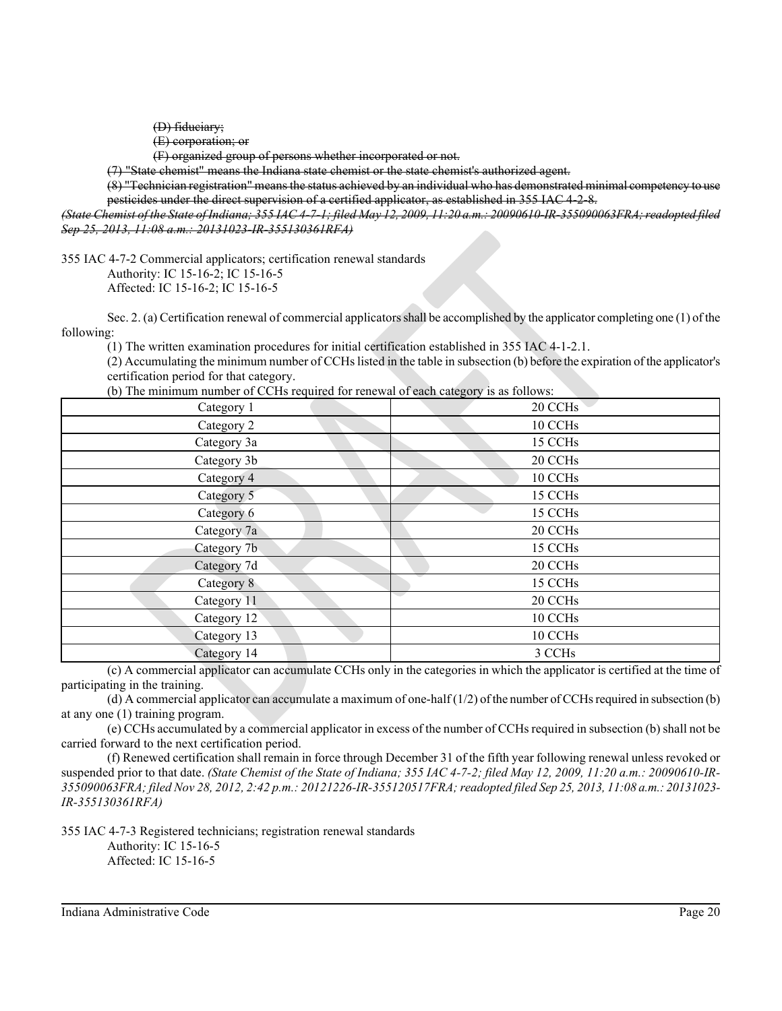(D) fiduciary;

(E) corporation; or

(F) organized group of persons whether incorporated or not.

(7) "State chemist" means the Indiana state chemist or the state chemist's authorized agent.

(8) "Technician registration" means the status achieved by an individual who has demonstrated minimal competency to use pesticides under the direct supervision of a certified applicator, as established in 355 IAC 4-2-8.

*(State Chemist of the State of Indiana; 355 IAC 4-7-1; filed May 12, 2009, 11:20 a.m.: 20090610-IR-355090063FRA; readopted filed Sep 25, 2013, 11:08 a.m.: 20131023-IR-355130361RFA)*

355 IAC 4-7-2 Commercial applicators; certification renewal standards Authority: IC 15-16-2; IC 15-16-5 Affected: IC 15-16-2; IC 15-16-5

Sec. 2. (a) Certification renewal of commercial applicators shall be accomplished by the applicator completing one (1) of the following:

(1) The written examination procedures for initial certification established in 355 IAC 4-1-2.1.

(2) Accumulating the minimum number of CCHs listed in the table in subsection (b) before the expiration of the applicator's certification period for that category.

(b) The minimum number of CCHs required for renewal of each category is as follows:

| $\sqrt{-}$  |         |
|-------------|---------|
| Category 1  | 20 CCHs |
| Category 2  | 10 CCHs |
| Category 3a | 15 CCHs |
| Category 3b | 20 CCHs |
| Category 4  | 10 CCHs |
| Category 5  | 15 CCHs |
| Category 6  | 15 CCHs |
| Category 7a | 20 CCHs |
| Category 7b | 15 CCHs |
| Category 7d | 20 CCHs |
| Category 8  | 15 CCHs |
| Category 11 | 20 CCHs |
| Category 12 | 10 CCHs |
| Category 13 | 10 CCHs |
| Category 14 | 3 CCHs  |

(c) A commercial applicator can accumulate CCHs only in the categories in which the applicator is certified at the time of participating in the training.

(d) A commercial applicator can accumulate a maximum of one-half  $(1/2)$  of the number of CCHs required in subsection (b) at any one (1) training program.

(e) CCHs accumulated by a commercial applicator in excess of the number of CCHs required in subsection (b) shall not be carried forward to the next certification period.

(f) Renewed certification shall remain in force through December 31 of the fifth year following renewal unless revoked or suspended prior to that date. *(State Chemist of the State of Indiana; 355 IAC 4-7-2; filed May 12, 2009, 11:20 a.m.: 20090610-IR-355090063FRA; filed Nov 28, 2012, 2:42 p.m.: 20121226-IR-355120517FRA; readopted filed Sep 25, 2013, 11:08 a.m.: 20131023- IR-355130361RFA)*

355 IAC 4-7-3 Registered technicians; registration renewal standards

Authority: IC 15-16-5 Affected: IC 15-16-5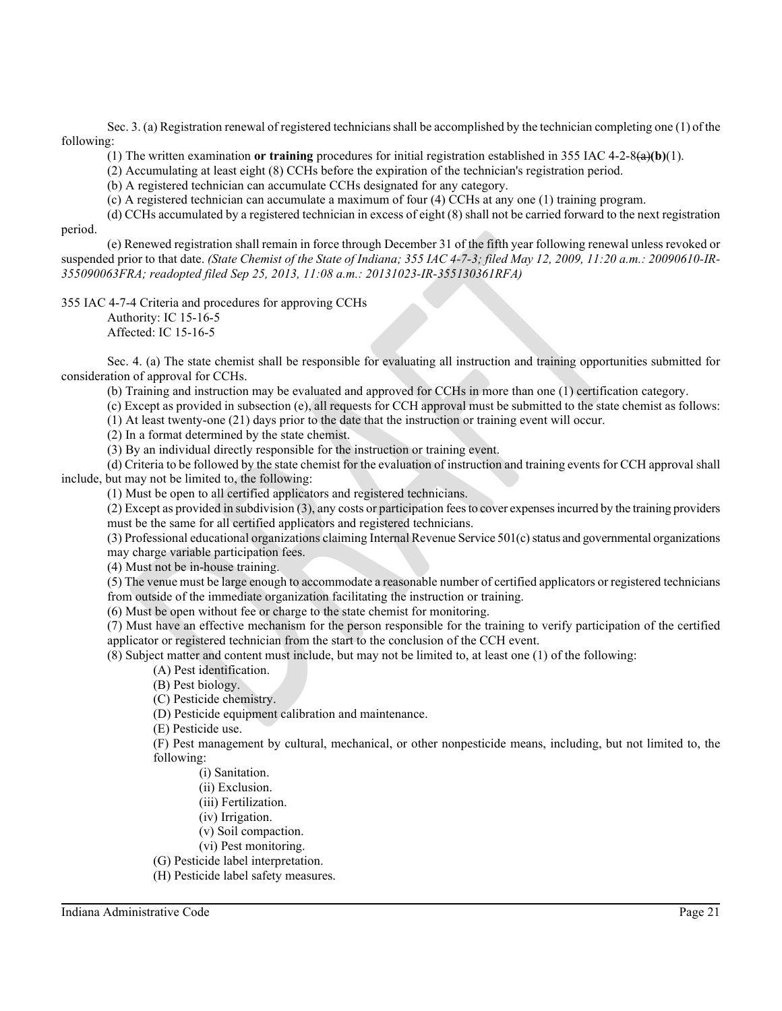Sec. 3. (a) Registration renewal of registered technicians shall be accomplished by the technician completing one (1) of the following:

(1) The written examination **or training** procedures for initial registration established in 355 IAC 4-2-8(a)**(b)**(1).

(2) Accumulating at least eight (8) CCHs before the expiration of the technician's registration period.

(b) A registered technician can accumulate CCHs designated for any category.

(c) A registered technician can accumulate a maximum of four (4) CCHs at any one (1) training program.

(d) CCHs accumulated by a registered technician in excess of eight (8) shall not be carried forward to the next registration period.

(e) Renewed registration shall remain in force through December 31 of the fifth year following renewal unless revoked or suspended prior to that date. *(State Chemist of the State of Indiana; 355 IAC 4-7-3; filed May 12, 2009, 11:20 a.m.: 20090610-IR-355090063FRA; readopted filed Sep 25, 2013, 11:08 a.m.: 20131023-IR-355130361RFA)*

355 IAC 4-7-4 Criteria and procedures for approving CCHs

Authority: IC 15-16-5

Affected: IC 15-16-5

Sec. 4. (a) The state chemist shall be responsible for evaluating all instruction and training opportunities submitted for consideration of approval for CCHs.

(b) Training and instruction may be evaluated and approved for CCHs in more than one (1) certification category.

(c) Except as provided in subsection (e), all requests for CCH approval must be submitted to the state chemist as follows:

(1) At least twenty-one (21) days prior to the date that the instruction or training event will occur.

(2) In a format determined by the state chemist.

(3) By an individual directly responsible for the instruction or training event.

(d) Criteria to be followed by the state chemist for the evaluation of instruction and training events for CCH approval shall include, but may not be limited to, the following:

(1) Must be open to all certified applicators and registered technicians.

(2) Except as provided in subdivision (3), any costs or participation fees to cover expenses incurred by the training providers must be the same for all certified applicators and registered technicians.

(3) Professional educational organizations claiming Internal Revenue Service 501(c) status and governmental organizations may charge variable participation fees.

(4) Must not be in-house training.

(5) The venue must be large enough to accommodate a reasonable number of certified applicators or registered technicians from outside of the immediate organization facilitating the instruction or training.

(6) Must be open without fee or charge to the state chemist for monitoring.

(7) Must have an effective mechanism for the person responsible for the training to verify participation of the certified applicator or registered technician from the start to the conclusion of the CCH event.

(8) Subject matter and content must include, but may not be limited to, at least one (1) of the following:

(A) Pest identification.

(B) Pest biology.

(C) Pesticide chemistry.

(D) Pesticide equipment calibration and maintenance.

(E) Pesticide use.

(F) Pest management by cultural, mechanical, or other nonpesticide means, including, but not limited to, the following:

(i) Sanitation.

(ii) Exclusion.

(iii) Fertilization.

(iv) Irrigation.

(v) Soil compaction.

(vi) Pest monitoring.

(G) Pesticide label interpretation.

(H) Pesticide label safety measures.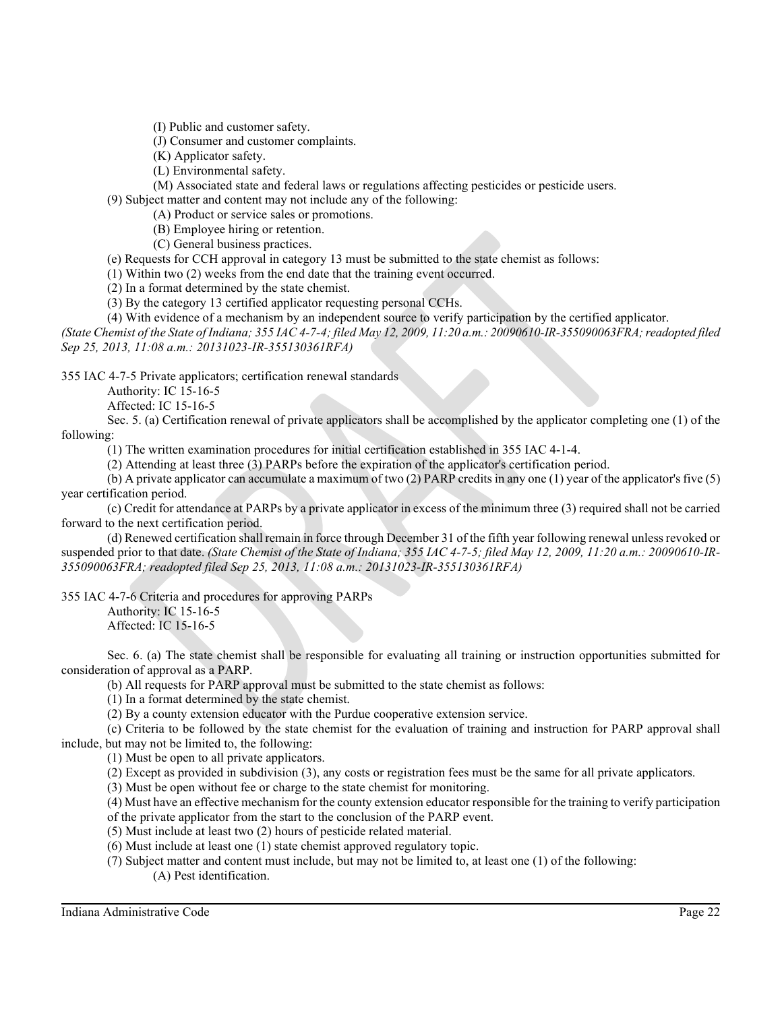(I) Public and customer safety.

(J) Consumer and customer complaints.

(K) Applicator safety.

(L) Environmental safety.

(M) Associated state and federal laws or regulations affecting pesticides or pesticide users.

(9) Subject matter and content may not include any of the following:

(A) Product or service sales or promotions.

(B) Employee hiring or retention.

(C) General business practices.

(e) Requests for CCH approval in category 13 must be submitted to the state chemist as follows:

(1) Within two (2) weeks from the end date that the training event occurred.

(2) In a format determined by the state chemist.

(3) By the category 13 certified applicator requesting personal CCHs.

(4) With evidence of a mechanism by an independent source to verify participation by the certified applicator. *(State Chemist of the State of Indiana; 355 IAC 4-7-4; filed May 12, 2009, 11:20 a.m.: 20090610-IR-355090063FRA; readopted filed Sep 25, 2013, 11:08 a.m.: 20131023-IR-355130361RFA)*

355 IAC 4-7-5 Private applicators; certification renewal standards

Authority: IC 15-16-5

Affected: IC 15-16-5

Sec. 5. (a) Certification renewal of private applicators shall be accomplished by the applicator completing one (1) of the following:

(1) The written examination procedures for initial certification established in 355 IAC 4-1-4.

(2) Attending at least three (3) PARPs before the expiration of the applicator's certification period.

(b) A private applicator can accumulate a maximum of two (2) PARP credits in any one (1) year of the applicator's five (5) year certification period.

(c) Credit for attendance at PARPs by a private applicator in excess of the minimum three (3) required shall not be carried forward to the next certification period.

(d) Renewed certification shall remain in force through December 31 of the fifth year following renewal unless revoked or suspended prior to that date. *(State Chemist of the State of Indiana; 355 IAC 4-7-5; filed May 12, 2009, 11:20 a.m.: 20090610-IR-355090063FRA; readopted filed Sep 25, 2013, 11:08 a.m.: 20131023-IR-355130361RFA)*

355 IAC 4-7-6 Criteria and procedures for approving PARPs

Authority: IC 15-16-5 Affected: IC 15-16-5

Sec. 6. (a) The state chemist shall be responsible for evaluating all training or instruction opportunities submitted for consideration of approval as a PARP.

(b) All requests for PARP approval must be submitted to the state chemist as follows:

(1) In a format determined by the state chemist.

(2) By a county extension educator with the Purdue cooperative extension service.

(c) Criteria to be followed by the state chemist for the evaluation of training and instruction for PARP approval shall include, but may not be limited to, the following:

(1) Must be open to all private applicators.

(2) Except as provided in subdivision (3), any costs or registration fees must be the same for all private applicators.

(3) Must be open without fee or charge to the state chemist for monitoring.

(4) Must have an effective mechanism for the county extension educator responsible for the training to verify participation

of the private applicator from the start to the conclusion of the PARP event.

(5) Must include at least two (2) hours of pesticide related material.

(6) Must include at least one (1) state chemist approved regulatory topic.

(7) Subject matter and content must include, but may not be limited to, at least one (1) of the following: (A) Pest identification.